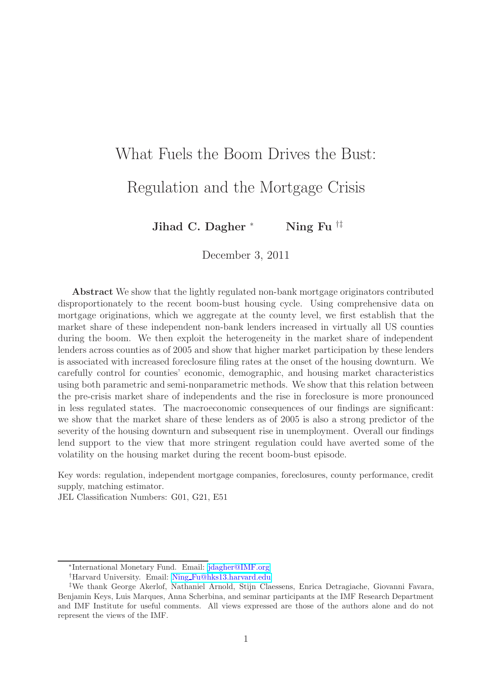# What Fuels the Boom Drives the Bust: Regulation and the Mortgage Crisis

Jihad C. Dagher \* Ning Fu  $\#$ 

December 3, 2011

Abstract We show that the lightly regulated non-bank mortgage originators contributed disproportionately to the recent boom-bust housing cycle. Using comprehensive data on mortgage originations, which we aggregate at the county level, we first establish that the market share of these independent non-bank lenders increased in virtually all US counties during the boom. We then exploit the heterogeneity in the market share of independent lenders across counties as of 2005 and show that higher market participation by these lenders is associated with increased foreclosure filing rates at the onset of the housing downturn. We carefully control for counties' economic, demographic, and housing market characteristics using both parametric and semi-nonparametric methods. We show that this relation between the pre-crisis market share of independents and the rise in foreclosure is more pronounced in less regulated states. The macroeconomic consequences of our findings are significant: we show that the market share of these lenders as of 2005 is also a strong predictor of the severity of the housing downturn and subsequent rise in unemployment. Overall our findings lend support to the view that more stringent regulation could have averted some of the volatility on the housing market during the recent boom-bust episode.

Key words: regulation, independent mortgage companies, foreclosures, county performance, credit supply, matching estimator.

JEL Classification Numbers: G01, G21, E51

<sup>∗</sup> International Monetary Fund. Email: [jdagher@IMF.org](mailto:jdagher@imf.org)

<sup>†</sup>Harvard University. Email: Ning [Fu@hks13.harvard.edu](mailto:Ning\protect _Fu@hks13.harvard.edu)

<sup>‡</sup>We thank George Akerlof, Nathaniel Arnold, Stijn Claessens, Enrica Detragiache, Giovanni Favara, Benjamin Keys, Luis Marques, Anna Scherbina, and seminar participants at the IMF Research Department and IMF Institute for useful comments. All views expressed are those of the authors alone and do not represent the views of the IMF.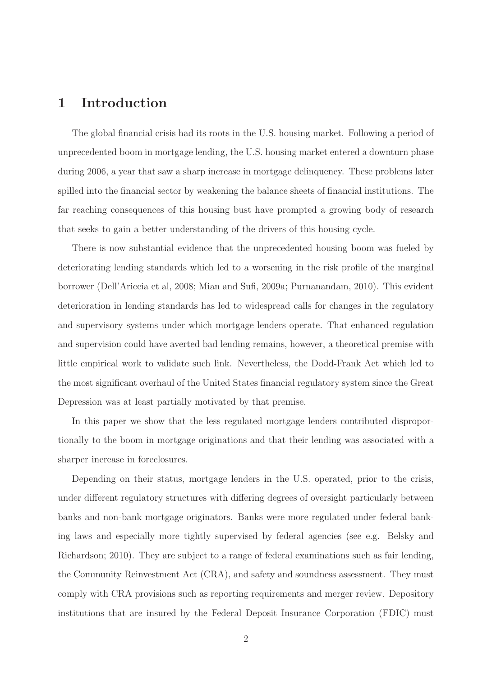# 1 Introduction

The global financial crisis had its roots in the U.S. housing market. Following a period of unprecedented boom in mortgage lending, the U.S. housing market entered a downturn phase during 2006, a year that saw a sharp increase in mortgage delinquency. These problems later spilled into the financial sector by weakening the balance sheets of financial institutions. The far reaching consequences of this housing bust have prompted a growing body of research that seeks to gain a better understanding of the drivers of this housing cycle.

There is now substantial evidence that the unprecedented housing boom was fueled by deteriorating lending standards which led to a worsening in the risk profile of the marginal borrower (Dell'Ariccia et al, 2008; Mian and Sufi, 2009a; Purnanandam, 2010). This evident deterioration in lending standards has led to widespread calls for changes in the regulatory and supervisory systems under which mortgage lenders operate. That enhanced regulation and supervision could have averted bad lending remains, however, a theoretical premise with little empirical work to validate such link. Nevertheless, the Dodd-Frank Act which led to the most significant overhaul of the United States financial regulatory system since the Great Depression was at least partially motivated by that premise.

In this paper we show that the less regulated mortgage lenders contributed disproportionally to the boom in mortgage originations and that their lending was associated with a sharper increase in foreclosures.

Depending on their status, mortgage lenders in the U.S. operated, prior to the crisis, under different regulatory structures with differing degrees of oversight particularly between banks and non-bank mortgage originators. Banks were more regulated under federal banking laws and especially more tightly supervised by federal agencies (see e.g. Belsky and Richardson; 2010). They are subject to a range of federal examinations such as fair lending, the Community Reinvestment Act (CRA), and safety and soundness assessment. They must comply with CRA provisions such as reporting requirements and merger review. Depository institutions that are insured by the Federal Deposit Insurance Corporation (FDIC) must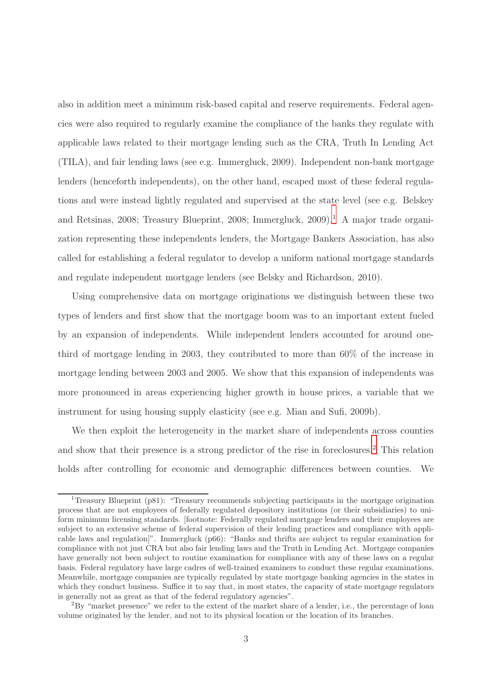also in addition meet a minimum risk-based capital and reserve requirements. Federal agencies were also required to regularly examine the compliance of the banks they regulate with applicable laws related to their mortgage lending such as the CRA, Truth In Lending Act (TILA), and fair lending laws (see e.g. Immergluck, 2009). Independent non-bank mortgage lenders (henceforth independents), on the other hand, escaped most of these federal regulations and were instead lightly regulated and supervised at the state level (see e.g. Belskey and Retsinas, 2008; Treasury Blueprint, 2008; Immergluck,  $2009$ ).<sup>[1](#page-2-0)</sup> A major trade organization representing these independents lenders, the Mortgage Bankers Association, has also called for establishing a federal regulator to develop a uniform national mortgage standards and regulate independent mortgage lenders (see Belsky and Richardson, 2010).

Using comprehensive data on mortgage originations we distinguish between these two types of lenders and first show that the mortgage boom was to an important extent fueled by an expansion of independents. While independent lenders accounted for around onethird of mortgage lending in 2003, they contributed to more than 60% of the increase in mortgage lending between 2003 and 2005. We show that this expansion of independents was more pronounced in areas experiencing higher growth in house prices, a variable that we instrument for using housing supply elasticity (see e.g. Mian and Sufi, 2009b).

We then exploit the heterogeneity in the market share of independents across counties and show that their presence is a strong predictor of the rise in foreclosures.[2](#page-2-1) This relation holds after controlling for economic and demographic differences between counties. We

<span id="page-2-0"></span><sup>1</sup>Treasury Blueprint (p81): "Treasury recommends subjecting participants in the mortgage origination process that are not employees of federally regulated depository institutions (or their subsidiaries) to uniform minimum licensing standards. [footnote: Federally regulated mortgage lenders and their employees are subject to an extensive scheme of federal supervision of their lending practices and compliance with applicable laws and regulation]". Immergluck (p66): "Banks and thrifts are subject to regular examination for compliance with not just CRA but also fair lending laws and the Truth in Lending Act. Mortgage companies have generally not been subject to routine examination for compliance with any of these laws on a regular basis. Federal regulatory have large cadres of well-trained examiners to conduct these regular examinations. Meanwhile, mortgage companies are typically regulated by state mortgage banking agencies in the states in which they conduct business. Suffice it to say that, in most states, the capacity of state mortgage regulators is generally not as great as that of the federal regulatory agencies".

<span id="page-2-1"></span> ${}^{2}_{2}$ By "market presence" we refer to the extent of the market share of a lender, i.e., the percentage of loan volume originated by the lender, and not to its physical location or the location of its branches.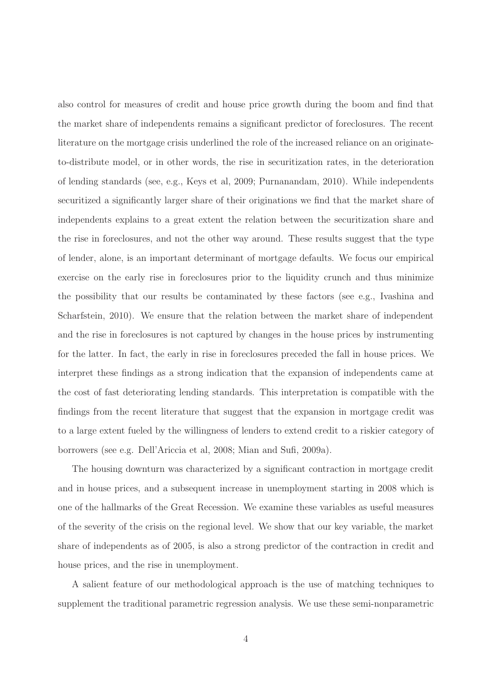also control for measures of credit and house price growth during the boom and find that the market share of independents remains a significant predictor of foreclosures. The recent literature on the mortgage crisis underlined the role of the increased reliance on an originateto-distribute model, or in other words, the rise in securitization rates, in the deterioration of lending standards (see, e.g., Keys et al, 2009; Purnanandam, 2010). While independents securitized a significantly larger share of their originations we find that the market share of independents explains to a great extent the relation between the securitization share and the rise in foreclosures, and not the other way around. These results suggest that the type of lender, alone, is an important determinant of mortgage defaults. We focus our empirical exercise on the early rise in foreclosures prior to the liquidity crunch and thus minimize the possibility that our results be contaminated by these factors (see e.g., Ivashina and Scharfstein, 2010). We ensure that the relation between the market share of independent and the rise in foreclosures is not captured by changes in the house prices by instrumenting for the latter. In fact, the early in rise in foreclosures preceded the fall in house prices. We interpret these findings as a strong indication that the expansion of independents came at the cost of fast deteriorating lending standards. This interpretation is compatible with the findings from the recent literature that suggest that the expansion in mortgage credit was to a large extent fueled by the willingness of lenders to extend credit to a riskier category of borrowers (see e.g. Dell'Ariccia et al, 2008; Mian and Sufi, 2009a).

The housing downturn was characterized by a significant contraction in mortgage credit and in house prices, and a subsequent increase in unemployment starting in 2008 which is one of the hallmarks of the Great Recession. We examine these variables as useful measures of the severity of the crisis on the regional level. We show that our key variable, the market share of independents as of 2005, is also a strong predictor of the contraction in credit and house prices, and the rise in unemployment.

A salient feature of our methodological approach is the use of matching techniques to supplement the traditional parametric regression analysis. We use these semi-nonparametric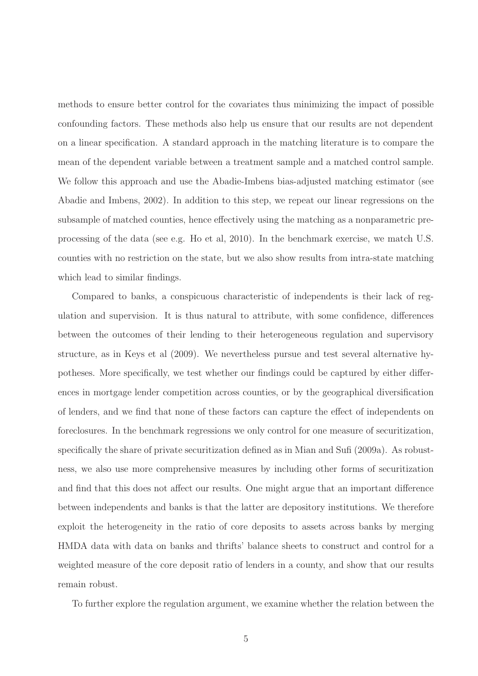methods to ensure better control for the covariates thus minimizing the impact of possible confounding factors. These methods also help us ensure that our results are not dependent on a linear specification. A standard approach in the matching literature is to compare the mean of the dependent variable between a treatment sample and a matched control sample. We follow this approach and use the Abadie-Imbens bias-adjusted matching estimator (see Abadie and Imbens, 2002). In addition to this step, we repeat our linear regressions on the subsample of matched counties, hence effectively using the matching as a nonparametric preprocessing of the data (see e.g. Ho et al, 2010). In the benchmark exercise, we match U.S. counties with no restriction on the state, but we also show results from intra-state matching which lead to similar findings.

Compared to banks, a conspicuous characteristic of independents is their lack of regulation and supervision. It is thus natural to attribute, with some confidence, differences between the outcomes of their lending to their heterogeneous regulation and supervisory structure, as in Keys et al (2009). We nevertheless pursue and test several alternative hypotheses. More specifically, we test whether our findings could be captured by either differences in mortgage lender competition across counties, or by the geographical diversification of lenders, and we find that none of these factors can capture the effect of independents on foreclosures. In the benchmark regressions we only control for one measure of securitization, specifically the share of private securitization defined as in Mian and Sufi (2009a). As robustness, we also use more comprehensive measures by including other forms of securitization and find that this does not affect our results. One might argue that an important difference between independents and banks is that the latter are depository institutions. We therefore exploit the heterogeneity in the ratio of core deposits to assets across banks by merging HMDA data with data on banks and thrifts' balance sheets to construct and control for a weighted measure of the core deposit ratio of lenders in a county, and show that our results remain robust.

To further explore the regulation argument, we examine whether the relation between the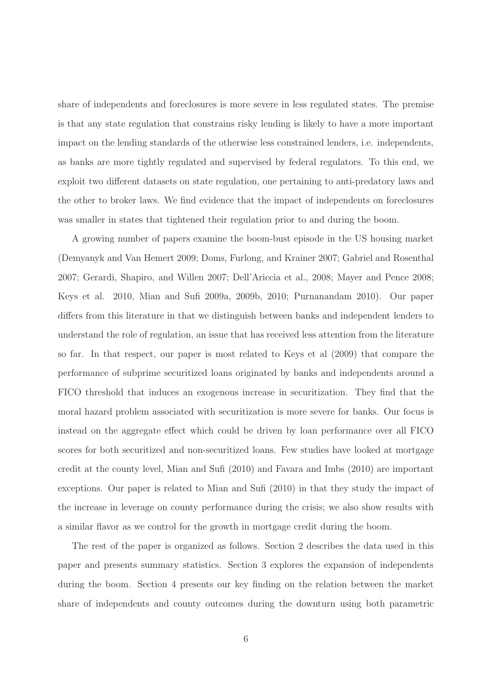share of independents and foreclosures is more severe in less regulated states. The premise is that any state regulation that constrains risky lending is likely to have a more important impact on the lending standards of the otherwise less constrained lenders, i.e. independents, as banks are more tightly regulated and supervised by federal regulators. To this end, we exploit two different datasets on state regulation, one pertaining to anti-predatory laws and the other to broker laws. We find evidence that the impact of independents on foreclosures was smaller in states that tightened their regulation prior to and during the boom.

A growing number of papers examine the boom-bust episode in the US housing market (Demyanyk and Van Hemert 2009; Doms, Furlong, and Krainer 2007; Gabriel and Rosenthal 2007; Gerardi, Shapiro, and Willen 2007; Dell'Ariccia et al., 2008; Mayer and Pence 2008; Keys et al. 2010, Mian and Sufi 2009a, 2009b, 2010; Purnanandam 2010). Our paper differs from this literature in that we distinguish between banks and independent lenders to understand the role of regulation, an issue that has received less attention from the literature so far. In that respect, our paper is most related to Keys et al (2009) that compare the performance of subprime securitized loans originated by banks and independents around a FICO threshold that induces an exogenous increase in securitization. They find that the moral hazard problem associated with securitization is more severe for banks. Our focus is instead on the aggregate effect which could be driven by loan performance over all FICO scores for both securitized and non-securitized loans. Few studies have looked at mortgage credit at the county level, Mian and Sufi (2010) and Favara and Imbs (2010) are important exceptions. Our paper is related to Mian and Sufi (2010) in that they study the impact of the increase in leverage on county performance during the crisis; we also show results with a similar flavor as we control for the growth in mortgage credit during the boom.

The rest of the paper is organized as follows. Section 2 describes the data used in this paper and presents summary statistics. Section 3 explores the expansion of independents during the boom. Section 4 presents our key finding on the relation between the market share of independents and county outcomes during the downturn using both parametric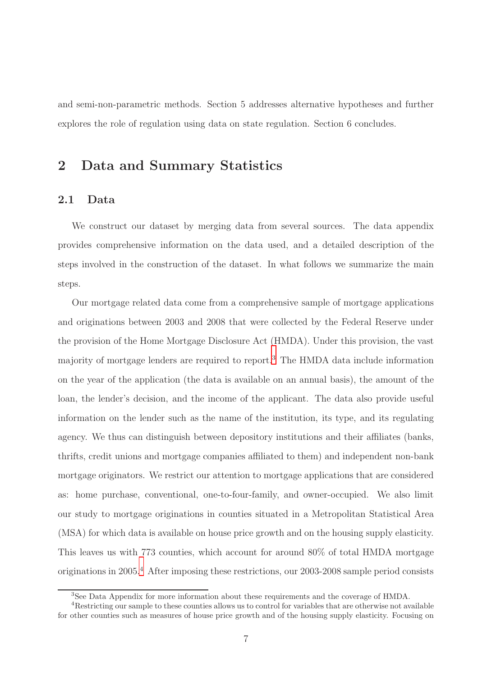and semi-non-parametric methods. Section 5 addresses alternative hypotheses and further explores the role of regulation using data on state regulation. Section 6 concludes.

# 2 Data and Summary Statistics

### 2.1 Data

We construct our dataset by merging data from several sources. The data appendix provides comprehensive information on the data used, and a detailed description of the steps involved in the construction of the dataset. In what follows we summarize the main steps.

Our mortgage related data come from a comprehensive sample of mortgage applications and originations between 2003 and 2008 that were collected by the Federal Reserve under the provision of the Home Mortgage Disclosure Act (HMDA). Under this provision, the vast majority of mortgage lenders are required to report.[3](#page-6-0) The HMDA data include information on the year of the application (the data is available on an annual basis), the amount of the loan, the lender's decision, and the income of the applicant. The data also provide useful information on the lender such as the name of the institution, its type, and its regulating agency. We thus can distinguish between depository institutions and their affiliates (banks, thrifts, credit unions and mortgage companies affiliated to them) and independent non-bank mortgage originators. We restrict our attention to mortgage applications that are considered as: home purchase, conventional, one-to-four-family, and owner-occupied. We also limit our study to mortgage originations in counties situated in a Metropolitan Statistical Area (MSA) for which data is available on house price growth and on the housing supply elasticity. This leaves us with 773 counties, which account for around 80% of total HMDA mortgage originations in 2005.[4](#page-6-1) After imposing these restrictions, our 2003-2008 sample period consists

<span id="page-6-0"></span><sup>3</sup>See Data Appendix for more information about these requirements and the coverage of HMDA.

<span id="page-6-1"></span><sup>4</sup>Restricting our sample to these counties allows us to control for variables that are otherwise not available for other counties such as measures of house price growth and of the housing supply elasticity. Focusing on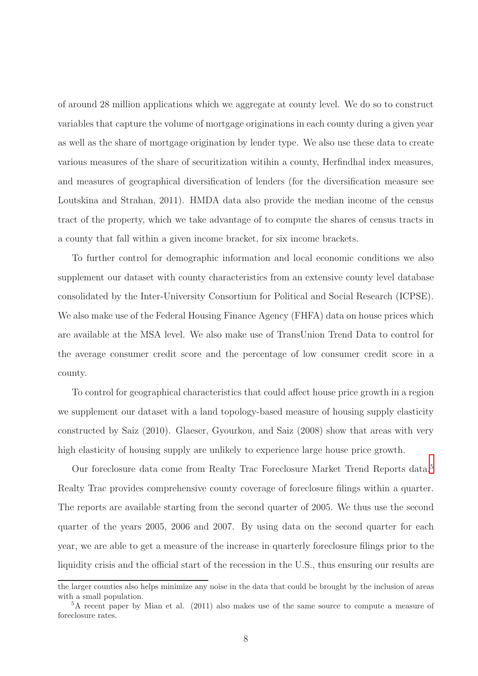of around 28 million applications which we aggregate at county level. We do so to construct variables that capture the volume of mortgage originations in each county during a given year as well as the share of mortgage origination by lender type. We also use these data to create various measures of the share of securitization witihin a county, Herfindhal index measures, and measures of geographical diversification of lenders (for the diversification measure see Loutskina and Strahan, 2011). HMDA data also provide the median income of the census tract of the property, which we take advantage of to compute the shares of census tracts in a county that fall within a given income bracket, for six income brackets.

To further control for demographic information and local economic conditions we also supplement our dataset with county characteristics from an extensive county level database consolidated by the Inter-University Consortium for Political and Social Research (ICPSE). We also make use of the Federal Housing Finance Agency (FHFA) data on house prices which are available at the MSA level. We also make use of TransUnion Trend Data to control for the average consumer credit score and the percentage of low consumer credit score in a county.

To control for geographical characteristics that could affect house price growth in a region we supplement our dataset with a land topology-based measure of housing supply elasticity constructed by Saiz (2010). Glaeser, Gyourkou, and Saiz (2008) show that areas with very high elasticity of housing supply are unlikely to experience large house price growth.

Our foreclosure data come from Realty Trac Foreclosure Market Trend Reports data.[5](#page-7-0) Realty Trac provides comprehensive county coverage of foreclosure filings within a quarter. The reports are available starting from the second quarter of 2005. We thus use the second quarter of the years 2005, 2006 and 2007. By using data on the second quarter for each year, we are able to get a measure of the increase in quarterly foreclosure filings prior to the liquidity crisis and the official start of the recession in the U.S., thus ensuring our results are

the larger counties also helps minimize any noise in the data that could be brought by the inclusion of areas with a small population.

<span id="page-7-0"></span> ${}^5$ A recent paper by Mian et al. (2011) also makes use of the same source to compute a measure of foreclosure rates.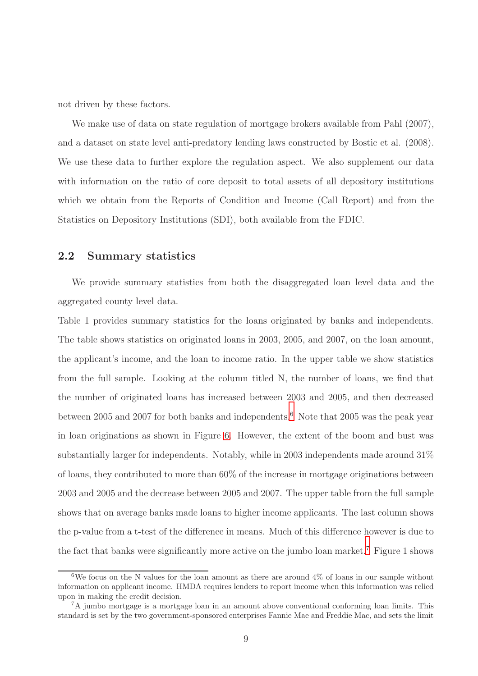not driven by these factors.

We make use of data on state regulation of mortgage brokers available from Pahl  $(2007)$ , and a dataset on state level anti-predatory lending laws constructed by Bostic et al. (2008). We use these data to further explore the regulation aspect. We also supplement our data with information on the ratio of core deposit to total assets of all depository institutions which we obtain from the Reports of Condition and Income (Call Report) and from the Statistics on Depository Institutions (SDI), both available from the FDIC.

### 2.2 Summary statistics

We provide summary statistics from both the disaggregated loan level data and the aggregated county level data.

Table 1 provides summary statistics for the loans originated by banks and independents. The table shows statistics on originated loans in 2003, 2005, and 2007, on the loan amount, the applicant's income, and the loan to income ratio. In the upper table we show statistics from the full sample. Looking at the column titled N, the number of loans, we find that the number of originated loans has increased between 2003 and 2005, and then decreased between 2005 and 2007 for both banks and independents.<sup>[6](#page-8-0)</sup> Note that 2005 was the peak year in loan originations as shown in Figure [6.](#page-56-0) However, the extent of the boom and bust was substantially larger for independents. Notably, while in 2003 independents made around 31% of loans, they contributed to more than 60% of the increase in mortgage originations between 2003 and 2005 and the decrease between 2005 and 2007. The upper table from the full sample shows that on average banks made loans to higher income applicants. The last column shows the p-value from a t-test of the difference in means. Much of this difference however is due to the fact that banks were significantly more active on the jumbo loan market.[7](#page-8-1) Figure 1 shows

<span id="page-8-0"></span><sup>&</sup>lt;sup>6</sup>We focus on the N values for the loan amount as there are around  $4\%$  of loans in our sample without information on applicant income. HMDA requires lenders to report income when this information was relied upon in making the credit decision.

<span id="page-8-1"></span><sup>7</sup>A jumbo mortgage is a mortgage loan in an amount above conventional conforming loan limits. This standard is set by the two government-sponsored enterprises Fannie Mae and Freddie Mac, and sets the limit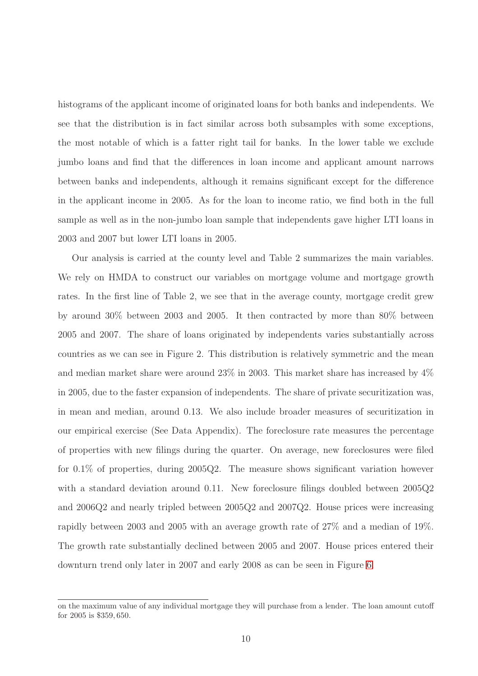histograms of the applicant income of originated loans for both banks and independents. We see that the distribution is in fact similar across both subsamples with some exceptions, the most notable of which is a fatter right tail for banks. In the lower table we exclude jumbo loans and find that the differences in loan income and applicant amount narrows between banks and independents, although it remains significant except for the difference in the applicant income in 2005. As for the loan to income ratio, we find both in the full sample as well as in the non-jumbo loan sample that independents gave higher LTI loans in 2003 and 2007 but lower LTI loans in 2005.

Our analysis is carried at the county level and Table 2 summarizes the main variables. We rely on HMDA to construct our variables on mortgage volume and mortgage growth rates. In the first line of Table 2, we see that in the average county, mortgage credit grew by around 30% between 2003 and 2005. It then contracted by more than 80% between 2005 and 2007. The share of loans originated by independents varies substantially across countries as we can see in Figure 2. This distribution is relatively symmetric and the mean and median market share were around 23% in 2003. This market share has increased by 4% in 2005, due to the faster expansion of independents. The share of private securitization was, in mean and median, around 0.13. We also include broader measures of securitization in our empirical exercise (See Data Appendix). The foreclosure rate measures the percentage of properties with new filings during the quarter. On average, new foreclosures were filed for 0.1% of properties, during 2005Q2. The measure shows significant variation however with a standard deviation around 0.11. New foreclosure filings doubled between 2005Q2 and 2006Q2 and nearly tripled between 2005Q2 and 2007Q2. House prices were increasing rapidly between 2003 and 2005 with an average growth rate of 27% and a median of 19%. The growth rate substantially declined between 2005 and 2007. House prices entered their downturn trend only later in 2007 and early 2008 as can be seen in Figure [6.](#page-56-0)

on the maximum value of any individual mortgage they will purchase from a lender. The loan amount cutoff for 2005 is \$359, 650.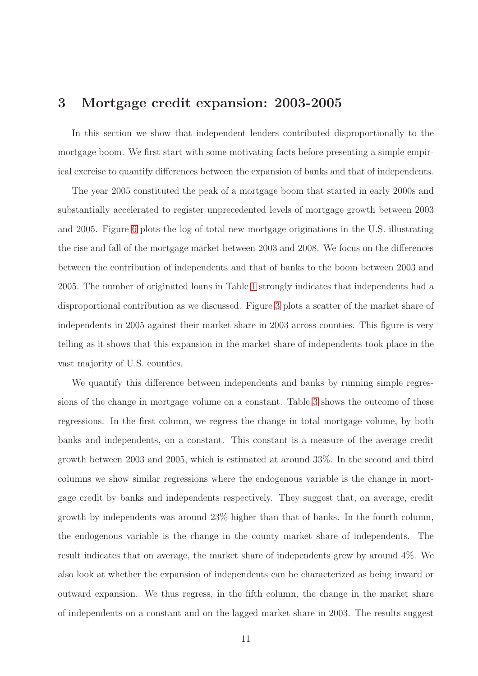# 3 Mortgage credit expansion: 2003-2005

In this section we show that independent lenders contributed disproportionally to the mortgage boom. We first start with some motivating facts before presenting a simple empirical exercise to quantify differences between the expansion of banks and that of independents.

The year 2005 constituted the peak of a mortgage boom that started in early 2000s and substantially accelerated to register unprecedented levels of mortgage growth between 2003 and 2005. Figure [6](#page-56-0) plots the log of total new mortgage originations in the U.S. illustrating the rise and fall of the mortgage market between 2003 and 2008. We focus on the differences between the contribution of independents and that of banks to the boom between 2003 and 2005. The number of originated loans in Table [1](#page-51-0) strongly indicates that independents had a disproportional contribution as we discussed. Figure [3](#page-48-0) plots a scatter of the market share of independents in 2005 against their market share in 2003 across counties. This figure is very telling as it shows that this expansion in the market share of independents took place in the vast majority of U.S. counties.

We quantify this difference between independents and banks by running simple regressions of the change in mortgage volume on a constant. Table [3](#page-53-0) shows the outcome of these regressions. In the first column, we regress the change in total mortgage volume, by both banks and independents, on a constant. This constant is a measure of the average credit growth between 2003 and 2005, which is estimated at around 33%. In the second and third columns we show similar regressions where the endogenous variable is the change in mortgage credit by banks and independents respectively. They suggest that, on average, credit growth by independents was around 23% higher than that of banks. In the fourth column, the endogenous variable is the change in the county market share of independents. The result indicates that on average, the market share of independents grew by around 4%. We also look at whether the expansion of independents can be characterized as being inward or outward expansion. We thus regress, in the fifth column, the change in the market share of independents on a constant and on the lagged market share in 2003. The results suggest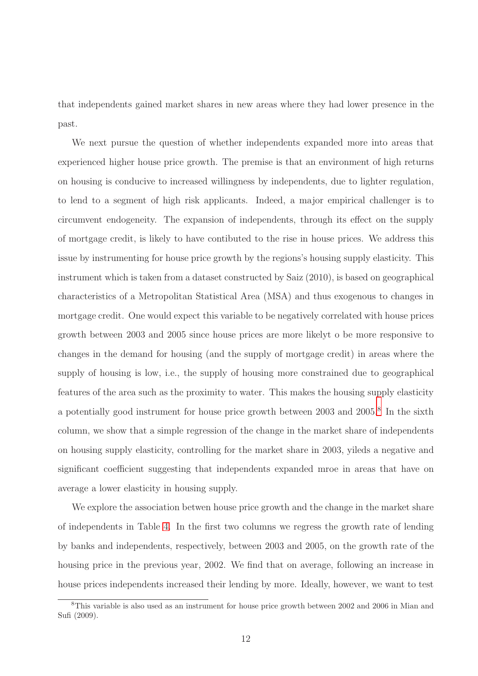that independents gained market shares in new areas where they had lower presence in the past.

We next pursue the question of whether independents expanded more into areas that experienced higher house price growth. The premise is that an environment of high returns on housing is conducive to increased willingness by independents, due to lighter regulation, to lend to a segment of high risk applicants. Indeed, a major empirical challenger is to circumvent endogeneity. The expansion of independents, through its effect on the supply of mortgage credit, is likely to have contibuted to the rise in house prices. We address this issue by instrumenting for house price growth by the regions's housing supply elasticity. This instrument which is taken from a dataset constructed by Saiz (2010), is based on geographical characteristics of a Metropolitan Statistical Area (MSA) and thus exogenous to changes in mortgage credit. One would expect this variable to be negatively correlated with house prices growth between 2003 and 2005 since house prices are more likelyt o be more responsive to changes in the demand for housing (and the supply of mortgage credit) in areas where the supply of housing is low, i.e., the supply of housing more constrained due to geographical features of the area such as the proximity to water. This makes the housing supply elasticity a potentially good instrument for house price growth between 2003 and 2005.<sup>[8](#page-11-0)</sup> In the sixth column, we show that a simple regression of the change in the market share of independents on housing supply elasticity, controlling for the market share in 2003, yileds a negative and significant coefficient suggesting that independents expanded mroe in areas that have on average a lower elasticity in housing supply.

We explore the association betwen house price growth and the change in the market share of independents in Table [4.](#page-54-0) In the first two columns we regress the growth rate of lending by banks and independents, respectively, between 2003 and 2005, on the growth rate of the housing price in the previous year, 2002. We find that on average, following an increase in house prices independents increased their lending by more. Ideally, however, we want to test

<span id="page-11-0"></span><sup>8</sup>This variable is also used as an instrument for house price growth between 2002 and 2006 in Mian and Sufi (2009).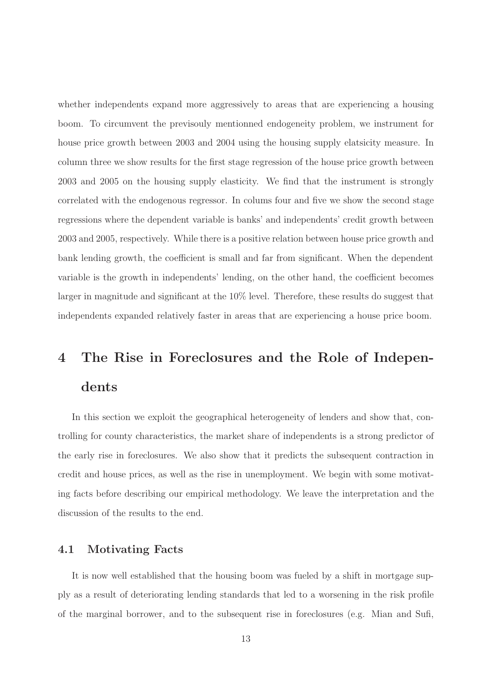whether independents expand more aggressively to areas that are experiencing a housing boom. To circumvent the previsouly mentionned endogeneity problem, we instrument for house price growth between 2003 and 2004 using the housing supply elatsicity measure. In column three we show results for the first stage regression of the house price growth between 2003 and 2005 on the housing supply elasticity. We find that the instrument is strongly correlated with the endogenous regressor. In colums four and five we show the second stage regressions where the dependent variable is banks' and independents' credit growth between 2003 and 2005, respectively. While there is a positive relation between house price growth and bank lending growth, the coefficient is small and far from significant. When the dependent variable is the growth in independents' lending, on the other hand, the coefficient becomes larger in magnitude and significant at the 10% level. Therefore, these results do suggest that independents expanded relatively faster in areas that are experiencing a house price boom.

# 4 The Rise in Foreclosures and the Role of Independents

In this section we exploit the geographical heterogeneity of lenders and show that, controlling for county characteristics, the market share of independents is a strong predictor of the early rise in foreclosures. We also show that it predicts the subsequent contraction in credit and house prices, as well as the rise in unemployment. We begin with some motivating facts before describing our empirical methodology. We leave the interpretation and the discussion of the results to the end.

## 4.1 Motivating Facts

It is now well established that the housing boom was fueled by a shift in mortgage supply as a result of deteriorating lending standards that led to a worsening in the risk profile of the marginal borrower, and to the subsequent rise in foreclosures (e.g. Mian and Sufi,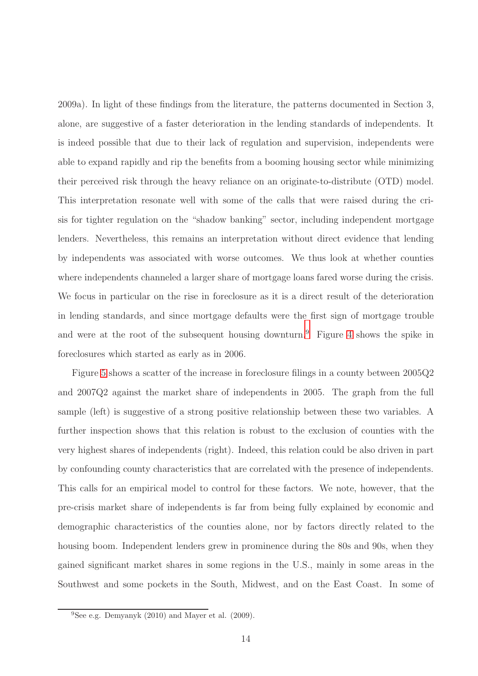2009a). In light of these findings from the literature, the patterns documented in Section 3, alone, are suggestive of a faster deterioration in the lending standards of independents. It is indeed possible that due to their lack of regulation and supervision, independents were able to expand rapidly and rip the benefits from a booming housing sector while minimizing their perceived risk through the heavy reliance on an originate-to-distribute (OTD) model. This interpretation resonate well with some of the calls that were raised during the crisis for tighter regulation on the "shadow banking" sector, including independent mortgage lenders. Nevertheless, this remains an interpretation without direct evidence that lending by independents was associated with worse outcomes. We thus look at whether counties where independents channeled a larger share of mortgage loans fared worse during the crisis. We focus in particular on the rise in foreclosure as it is a direct result of the deterioration in lending standards, and since mortgage defaults were the first sign of mortgage trouble and were at the root of the subsequent housing downturn.[9](#page-13-0) Figure [4](#page-48-1) shows the spike in foreclosures which started as early as in 2006.

Figure [5](#page-49-0) shows a scatter of the increase in foreclosure filings in a county between 2005Q2 and 2007Q2 against the market share of independents in 2005. The graph from the full sample (left) is suggestive of a strong positive relationship between these two variables. A further inspection shows that this relation is robust to the exclusion of counties with the very highest shares of independents (right). Indeed, this relation could be also driven in part by confounding county characteristics that are correlated with the presence of independents. This calls for an empirical model to control for these factors. We note, however, that the pre-crisis market share of independents is far from being fully explained by economic and demographic characteristics of the counties alone, nor by factors directly related to the housing boom. Independent lenders grew in prominence during the 80s and 90s, when they gained significant market shares in some regions in the U.S., mainly in some areas in the Southwest and some pockets in the South, Midwest, and on the East Coast. In some of

<span id="page-13-0"></span> $^{9}$ See e.g. Demyanyk (2010) and Mayer et al. (2009).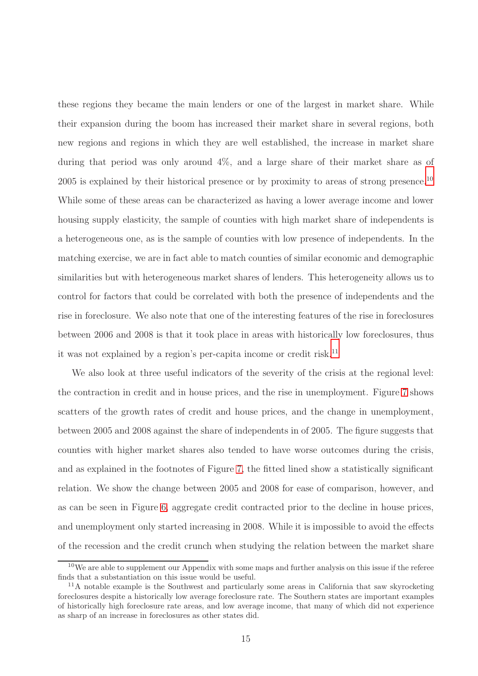these regions they became the main lenders or one of the largest in market share. While their expansion during the boom has increased their market share in several regions, both new regions and regions in which they are well established, the increase in market share during that period was only around  $4\%$ , and a large share of their market share as of 2005 is explained by their historical presence or by proximity to areas of strong presence.<sup>[10](#page-14-0)</sup> While some of these areas can be characterized as having a lower average income and lower housing supply elasticity, the sample of counties with high market share of independents is a heterogeneous one, as is the sample of counties with low presence of independents. In the matching exercise, we are in fact able to match counties of similar economic and demographic similarities but with heterogeneous market shares of lenders. This heterogeneity allows us to control for factors that could be correlated with both the presence of independents and the rise in foreclosure. We also note that one of the interesting features of the rise in foreclosures between 2006 and 2008 is that it took place in areas with historically low foreclosures, thus it was not explained by a region's per-capita income or credit risk.<sup>[11](#page-14-1)</sup>

We also look at three useful indicators of the severity of the crisis at the regional level: the contraction in credit and in house prices, and the rise in unemployment. Figure [7](#page-50-0) shows scatters of the growth rates of credit and house prices, and the change in unemployment, between 2005 and 2008 against the share of independents in of 2005. The figure suggests that counties with higher market shares also tended to have worse outcomes during the crisis, and as explained in the footnotes of Figure [7,](#page-50-0) the fitted lined show a statistically significant relation. We show the change between 2005 and 2008 for ease of comparison, however, and as can be seen in Figure [6,](#page-56-0) aggregate credit contracted prior to the decline in house prices, and unemployment only started increasing in 2008. While it is impossible to avoid the effects of the recession and the credit crunch when studying the relation between the market share

<span id="page-14-0"></span><sup>&</sup>lt;sup>10</sup>We are able to supplement our Appendix with some maps and further analysis on this issue if the referee finds that a substantiation on this issue would be useful.

<span id="page-14-1"></span><sup>11</sup>A notable example is the Southwest and particularly some areas in California that saw skyrocketing foreclosures despite a historically low average foreclosure rate. The Southern states are important examples of historically high foreclosure rate areas, and low average income, that many of which did not experience as sharp of an increase in foreclosures as other states did.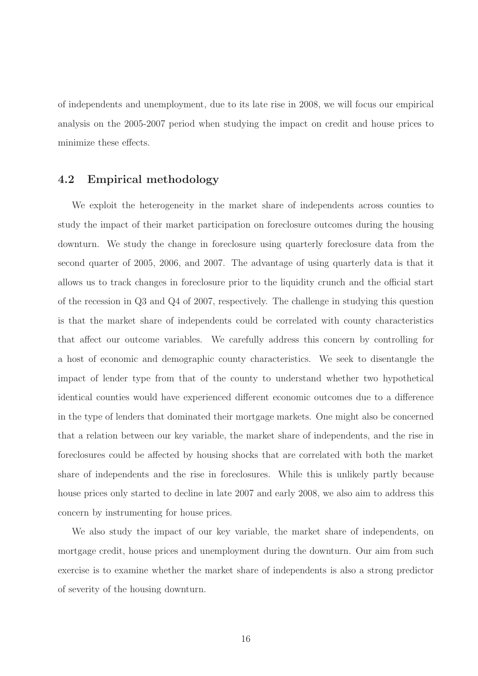of independents and unemployment, due to its late rise in 2008, we will focus our empirical analysis on the 2005-2007 period when studying the impact on credit and house prices to minimize these effects.

## 4.2 Empirical methodology

We exploit the heterogeneity in the market share of independents across counties to study the impact of their market participation on foreclosure outcomes during the housing downturn. We study the change in foreclosure using quarterly foreclosure data from the second quarter of 2005, 2006, and 2007. The advantage of using quarterly data is that it allows us to track changes in foreclosure prior to the liquidity crunch and the official start of the recession in Q3 and Q4 of 2007, respectively. The challenge in studying this question is that the market share of independents could be correlated with county characteristics that affect our outcome variables. We carefully address this concern by controlling for a host of economic and demographic county characteristics. We seek to disentangle the impact of lender type from that of the county to understand whether two hypothetical identical counties would have experienced different economic outcomes due to a difference in the type of lenders that dominated their mortgage markets. One might also be concerned that a relation between our key variable, the market share of independents, and the rise in foreclosures could be affected by housing shocks that are correlated with both the market share of independents and the rise in foreclosures. While this is unlikely partly because house prices only started to decline in late 2007 and early 2008, we also aim to address this concern by instrumenting for house prices.

We also study the impact of our key variable, the market share of independents, on mortgage credit, house prices and unemployment during the downturn. Our aim from such exercise is to examine whether the market share of independents is also a strong predictor of severity of the housing downturn.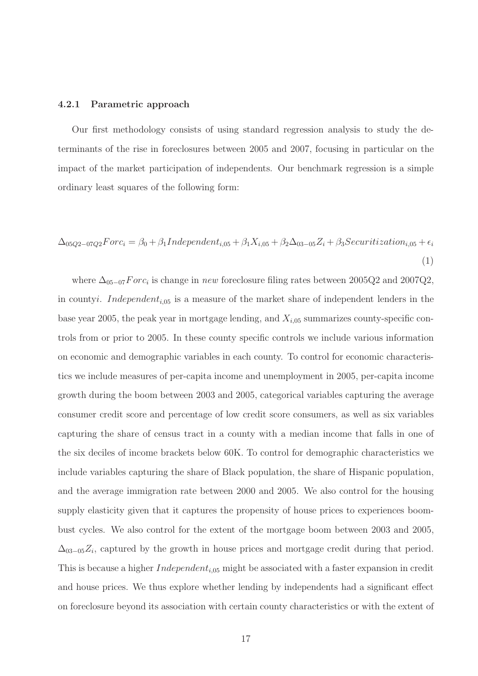#### 4.2.1 Parametric approach

Our first methodology consists of using standard regression analysis to study the determinants of the rise in foreclosures between 2005 and 2007, focusing in particular on the impact of the market participation of independents. Our benchmark regression is a simple ordinary least squares of the following form:

<span id="page-16-0"></span>
$$
\Delta_{05Q2-07Q2}Forc_i = \beta_0 + \beta_1 Independent_{i,05} + \beta_1 X_{i,05} + \beta_2 \Delta_{03-05} Z_i + \beta_3 Security activation_{i,05} + \epsilon_i
$$
\n
$$
\tag{1}
$$

where  $\Delta_{05-07}$  Forc<sub>i</sub> is change in new foreclosure filing rates between 2005Q2 and 2007Q2, in countyi. Independent<sub>i,05</sub> is a measure of the market share of independent lenders in the base year 2005, the peak year in mortgage lending, and  $X_{i,05}$  summarizes county-specific controls from or prior to 2005. In these county specific controls we include various information on economic and demographic variables in each county. To control for economic characteristics we include measures of per-capita income and unemployment in 2005, per-capita income growth during the boom between 2003 and 2005, categorical variables capturing the average consumer credit score and percentage of low credit score consumers, as well as six variables capturing the share of census tract in a county with a median income that falls in one of the six deciles of income brackets below 60K. To control for demographic characteristics we include variables capturing the share of Black population, the share of Hispanic population, and the average immigration rate between 2000 and 2005. We also control for the housing supply elasticity given that it captures the propensity of house prices to experiences boombust cycles. We also control for the extent of the mortgage boom between 2003 and 2005,  $\Delta_{03-05}Z_i$ , captured by the growth in house prices and mortgage credit during that period. This is because a higher  $Independent_{i,05}$  might be associated with a faster expansion in credit and house prices. We thus explore whether lending by independents had a significant effect on foreclosure beyond its association with certain county characteristics or with the extent of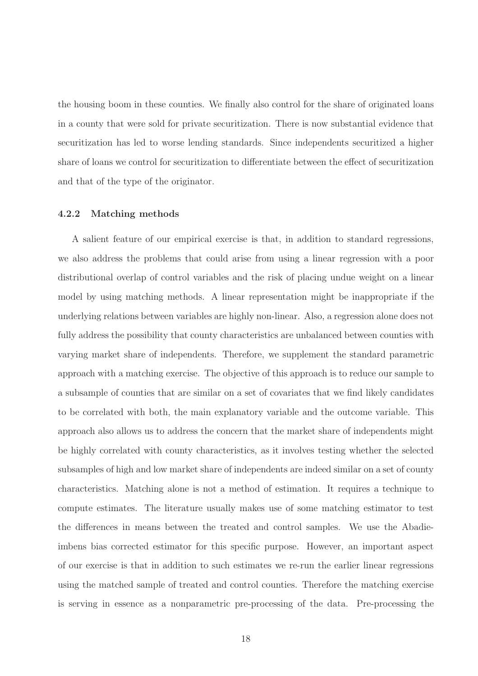the housing boom in these counties. We finally also control for the share of originated loans in a county that were sold for private securitization. There is now substantial evidence that securitization has led to worse lending standards. Since independents securitized a higher share of loans we control for securitization to differentiate between the effect of securitization and that of the type of the originator.

### 4.2.2 Matching methods

A salient feature of our empirical exercise is that, in addition to standard regressions, we also address the problems that could arise from using a linear regression with a poor distributional overlap of control variables and the risk of placing undue weight on a linear model by using matching methods. A linear representation might be inappropriate if the underlying relations between variables are highly non-linear. Also, a regression alone does not fully address the possibility that county characteristics are unbalanced between counties with varying market share of independents. Therefore, we supplement the standard parametric approach with a matching exercise. The objective of this approach is to reduce our sample to a subsample of counties that are similar on a set of covariates that we find likely candidates to be correlated with both, the main explanatory variable and the outcome variable. This approach also allows us to address the concern that the market share of independents might be highly correlated with county characteristics, as it involves testing whether the selected subsamples of high and low market share of independents are indeed similar on a set of county characteristics. Matching alone is not a method of estimation. It requires a technique to compute estimates. The literature usually makes use of some matching estimator to test the differences in means between the treated and control samples. We use the Abadieimbens bias corrected estimator for this specific purpose. However, an important aspect of our exercise is that in addition to such estimates we re-run the earlier linear regressions using the matched sample of treated and control counties. Therefore the matching exercise is serving in essence as a nonparametric pre-processing of the data. Pre-processing the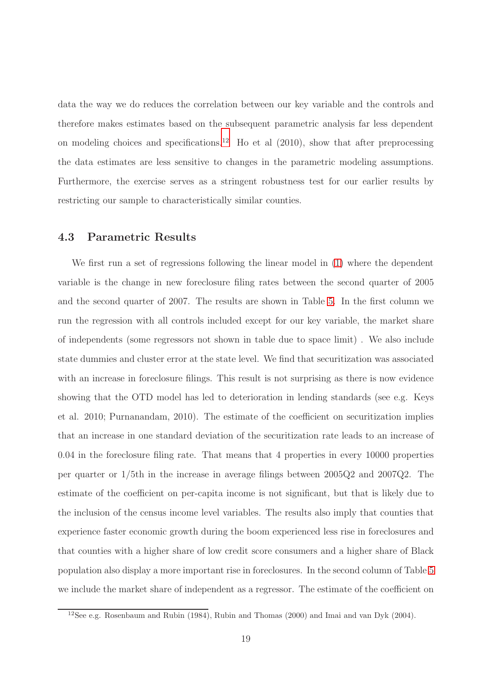data the way we do reduces the correlation between our key variable and the controls and therefore makes estimates based on the subsequent parametric analysis far less dependent on modeling choices and specifications.<sup>[12](#page-18-0)</sup> Ho et al  $(2010)$ , show that after preprocessing the data estimates are less sensitive to changes in the parametric modeling assumptions. Furthermore, the exercise serves as a stringent robustness test for our earlier results by restricting our sample to characteristically similar counties.

## 4.3 Parametric Results

We first run a set of regressions following the linear model in [\(1\)](#page-16-0) where the dependent variable is the change in new foreclosure filing rates between the second quarter of 2005 and the second quarter of 2007. The results are shown in Table [5.](#page-55-0) In the first column we run the regression with all controls included except for our key variable, the market share of independents (some regressors not shown in table due to space limit) . We also include state dummies and cluster error at the state level. We find that securitization was associated with an increase in foreclosure filings. This result is not surprising as there is now evidence showing that the OTD model has led to deterioration in lending standards (see e.g. Keys et al. 2010; Purnanandam, 2010). The estimate of the coefficient on securitization implies that an increase in one standard deviation of the securitization rate leads to an increase of 0.04 in the foreclosure filing rate. That means that 4 properties in every 10000 properties per quarter or 1/5th in the increase in average filings between 2005Q2 and 2007Q2. The estimate of the coefficient on per-capita income is not significant, but that is likely due to the inclusion of the census income level variables. The results also imply that counties that experience faster economic growth during the boom experienced less rise in foreclosures and that counties with a higher share of low credit score consumers and a higher share of Black population also display a more important rise in foreclosures. In the second column of Table [5](#page-55-0) we include the market share of independent as a regressor. The estimate of the coefficient on

<span id="page-18-0"></span><sup>12</sup>See e.g. Rosenbaum and Rubin (1984), Rubin and Thomas (2000) and Imai and van Dyk (2004).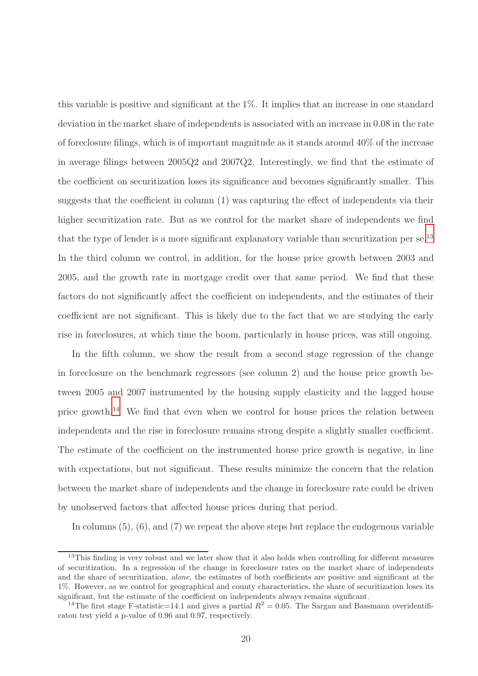this variable is positive and significant at the 1%. It implies that an increase in one standard deviation in the market share of independents is associated with an increase in 0.08 in the rate of foreclosure filings, which is of important magnitude as it stands around 40% of the increase in average filings between 2005Q2 and 2007Q2. Interestingly, we find that the estimate of the coefficient on securitization loses its significance and becomes significantly smaller. This suggests that the coefficient in column (1) was capturing the effect of independents via their higher securitization rate. But as we control for the market share of independents we find that the type of lender is a more significant explanatory variable than securitization per  $se^{13}$  $se^{13}$  $se^{13}$ In the third column we control, in addition, for the house price growth between 2003 and 2005, and the growth rate in mortgage credit over that same period. We find that these factors do not significantly affect the coefficient on independents, and the estimates of their coefficient are not significant. This is likely due to the fact that we are studying the early rise in foreclosures, at which time the boom, particularly in house prices, was still ongoing.

In the fifth column, we show the result from a second stage regression of the change in foreclosure on the benchmark regressors (see column 2) and the house price growth between 2005 and 2007 instrumented by the housing supply elasticity and the lagged house price growth.[14](#page-19-1) We find that even when we control for house prices the relation between independents and the rise in foreclosure remains strong despite a slightly smaller coefficient. The estimate of the coefficient on the instrumented house price growth is negative, in line with expectations, but not significant. These results minimize the concern that the relation between the market share of independents and the change in foreclosure rate could be driven by unobserved factors that affected house prices during that period.

In columns  $(5)$ ,  $(6)$ , and  $(7)$  we repeat the above steps but replace the endogenous variable

<span id="page-19-0"></span><sup>&</sup>lt;sup>13</sup>This finding is very robust and we later show that it also holds when controlling for different measures of securitization. In a regression of the change in foreclosure rates on the market share of independents and the share of securitization, alone, the estimates of both coefficients are positive and significant at the 1%. However, as we control for geographical and county characteristics, the share of securitization loses its significant, but the estimate of the coefficient on independents always remains signficant.

<span id="page-19-1"></span><sup>&</sup>lt;sup>14</sup>The first stage F-statistic=14.1 and gives a partial  $R^2 = 0.05$ . The Sargan and Bassmann overidentificaton test yield a p-value of 0.96 and 0.97, respectively.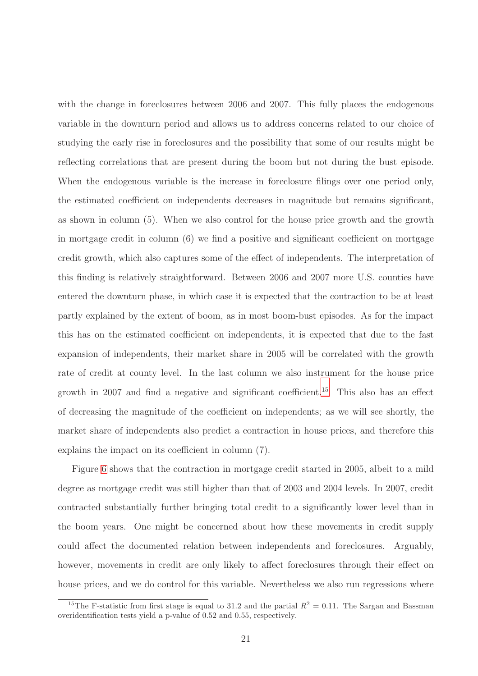with the change in foreclosures between 2006 and 2007. This fully places the endogenous variable in the downturn period and allows us to address concerns related to our choice of studying the early rise in foreclosures and the possibility that some of our results might be reflecting correlations that are present during the boom but not during the bust episode. When the endogenous variable is the increase in foreclosure filings over one period only, the estimated coefficient on independents decreases in magnitude but remains significant, as shown in column (5). When we also control for the house price growth and the growth in mortgage credit in column (6) we find a positive and significant coefficient on mortgage credit growth, which also captures some of the effect of independents. The interpretation of this finding is relatively straightforward. Between 2006 and 2007 more U.S. counties have entered the downturn phase, in which case it is expected that the contraction to be at least partly explained by the extent of boom, as in most boom-bust episodes. As for the impact this has on the estimated coefficient on independents, it is expected that due to the fast expansion of independents, their market share in 2005 will be correlated with the growth rate of credit at county level. In the last column we also instrument for the house price growth in 2007 and find a negative and significant coefficient.<sup>[15](#page-20-0)</sup> This also has an effect of decreasing the magnitude of the coefficient on independents; as we will see shortly, the market share of independents also predict a contraction in house prices, and therefore this explains the impact on its coefficient in column (7).

Figure [6](#page-56-0) shows that the contraction in mortgage credit started in 2005, albeit to a mild degree as mortgage credit was still higher than that of 2003 and 2004 levels. In 2007, credit contracted substantially further bringing total credit to a significantly lower level than in the boom years. One might be concerned about how these movements in credit supply could affect the documented relation between independents and foreclosures. Arguably, however, movements in credit are only likely to affect foreclosures through their effect on house prices, and we do control for this variable. Nevertheless we also run regressions where

<span id="page-20-0"></span><sup>&</sup>lt;sup>15</sup>The F-statistic from first stage is equal to 31.2 and the partial  $R^2 = 0.11$ . The Sargan and Bassman overidentification tests yield a p-value of 0.52 and 0.55, respectively.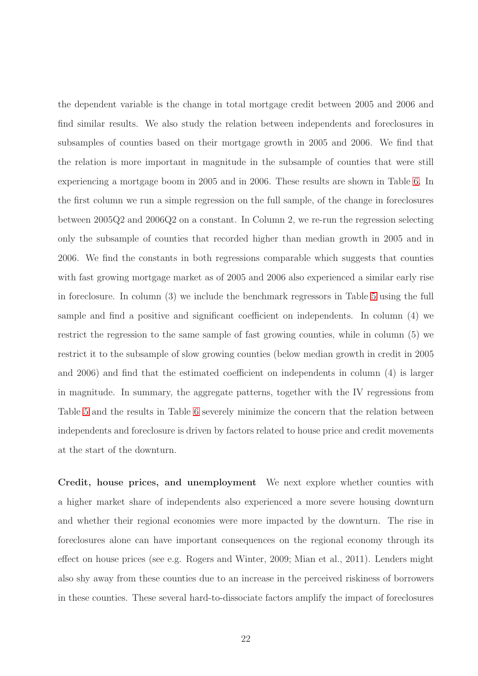the dependent variable is the change in total mortgage credit between 2005 and 2006 and find similar results. We also study the relation between independents and foreclosures in subsamples of counties based on their mortgage growth in 2005 and 2006. We find that the relation is more important in magnitude in the subsample of counties that were still experiencing a mortgage boom in 2005 and in 2006. These results are shown in Table [6.](#page-56-0) In the first column we run a simple regression on the full sample, of the change in foreclosures between 2005Q2 and 2006Q2 on a constant. In Column 2, we re-run the regression selecting only the subsample of counties that recorded higher than median growth in 2005 and in 2006. We find the constants in both regressions comparable which suggests that counties with fast growing mortgage market as of 2005 and 2006 also experienced a similar early rise in foreclosure. In column (3) we include the benchmark regressors in Table [5](#page-55-0) using the full sample and find a positive and significant coefficient on independents. In column (4) we restrict the regression to the same sample of fast growing counties, while in column (5) we restrict it to the subsample of slow growing counties (below median growth in credit in 2005 and 2006) and find that the estimated coefficient on independents in column (4) is larger in magnitude. In summary, the aggregate patterns, together with the IV regressions from Table [5](#page-55-0) and the results in Table [6](#page-56-0) severely minimize the concern that the relation between independents and foreclosure is driven by factors related to house price and credit movements at the start of the downturn.

Credit, house prices, and unemployment We next explore whether counties with a higher market share of independents also experienced a more severe housing downturn and whether their regional economies were more impacted by the downturn. The rise in foreclosures alone can have important consequences on the regional economy through its effect on house prices (see e.g. Rogers and Winter, 2009; Mian et al., 2011). Lenders might also shy away from these counties due to an increase in the perceived riskiness of borrowers in these counties. These several hard-to-dissociate factors amplify the impact of foreclosures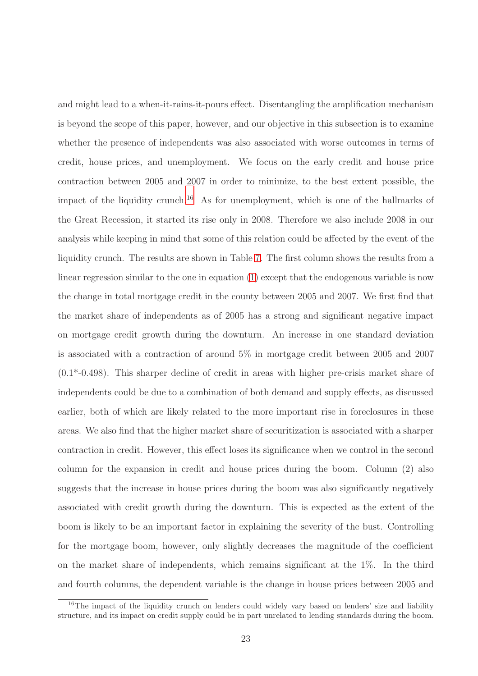and might lead to a when-it-rains-it-pours effect. Disentangling the amplification mechanism is beyond the scope of this paper, however, and our objective in this subsection is to examine whether the presence of independents was also associated with worse outcomes in terms of credit, house prices, and unemployment. We focus on the early credit and house price contraction between 2005 and 2007 in order to minimize, to the best extent possible, the impact of the liquidity crunch.[16](#page-22-0) As for unemployment, which is one of the hallmarks of the Great Recession, it started its rise only in 2008. Therefore we also include 2008 in our analysis while keeping in mind that some of this relation could be affected by the event of the liquidity crunch. The results are shown in Table [7.](#page-57-0) The first column shows the results from a linear regression similar to the one in equation [\(1\)](#page-16-0) except that the endogenous variable is now the change in total mortgage credit in the county between 2005 and 2007. We first find that the market share of independents as of 2005 has a strong and significant negative impact on mortgage credit growth during the downturn. An increase in one standard deviation is associated with a contraction of around 5% in mortgage credit between 2005 and 2007 (0.1\*-0.498). This sharper decline of credit in areas with higher pre-crisis market share of independents could be due to a combination of both demand and supply effects, as discussed earlier, both of which are likely related to the more important rise in foreclosures in these areas. We also find that the higher market share of securitization is associated with a sharper contraction in credit. However, this effect loses its significance when we control in the second column for the expansion in credit and house prices during the boom. Column (2) also suggests that the increase in house prices during the boom was also significantly negatively associated with credit growth during the downturn. This is expected as the extent of the boom is likely to be an important factor in explaining the severity of the bust. Controlling for the mortgage boom, however, only slightly decreases the magnitude of the coefficient on the market share of independents, which remains significant at the 1%. In the third and fourth columns, the dependent variable is the change in house prices between 2005 and

<span id="page-22-0"></span><sup>&</sup>lt;sup>16</sup>The impact of the liquidity crunch on lenders could widely vary based on lenders' size and liability structure, and its impact on credit supply could be in part unrelated to lending standards during the boom.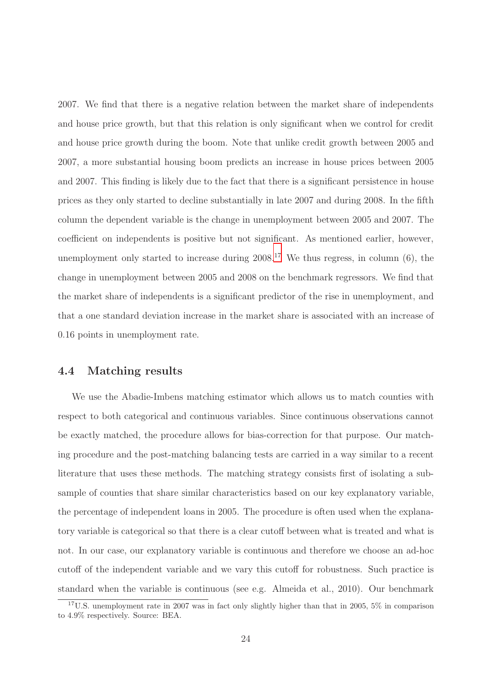2007. We find that there is a negative relation between the market share of independents and house price growth, but that this relation is only significant when we control for credit and house price growth during the boom. Note that unlike credit growth between 2005 and 2007, a more substantial housing boom predicts an increase in house prices between 2005 and 2007. This finding is likely due to the fact that there is a significant persistence in house prices as they only started to decline substantially in late 2007 and during 2008. In the fifth column the dependent variable is the change in unemployment between 2005 and 2007. The coefficient on independents is positive but not significant. As mentioned earlier, however, unemployment only started to increase during 2008.[17](#page-23-0) We thus regress, in column (6), the change in unemployment between 2005 and 2008 on the benchmark regressors. We find that the market share of independents is a significant predictor of the rise in unemployment, and that a one standard deviation increase in the market share is associated with an increase of 0.16 points in unemployment rate.

### 4.4 Matching results

We use the Abadie-Imbens matching estimator which allows us to match counties with respect to both categorical and continuous variables. Since continuous observations cannot be exactly matched, the procedure allows for bias-correction for that purpose. Our matching procedure and the post-matching balancing tests are carried in a way similar to a recent literature that uses these methods. The matching strategy consists first of isolating a subsample of counties that share similar characteristics based on our key explanatory variable, the percentage of independent loans in 2005. The procedure is often used when the explanatory variable is categorical so that there is a clear cutoff between what is treated and what is not. In our case, our explanatory variable is continuous and therefore we choose an ad-hoc cutoff of the independent variable and we vary this cutoff for robustness. Such practice is standard when the variable is continuous (see e.g. Almeida et al., 2010). Our benchmark

<span id="page-23-0"></span><sup>17</sup>U.S. unemployment rate in 2007 was in fact only slightly higher than that in 2005, 5% in comparison to 4.9% respectively. Source: BEA.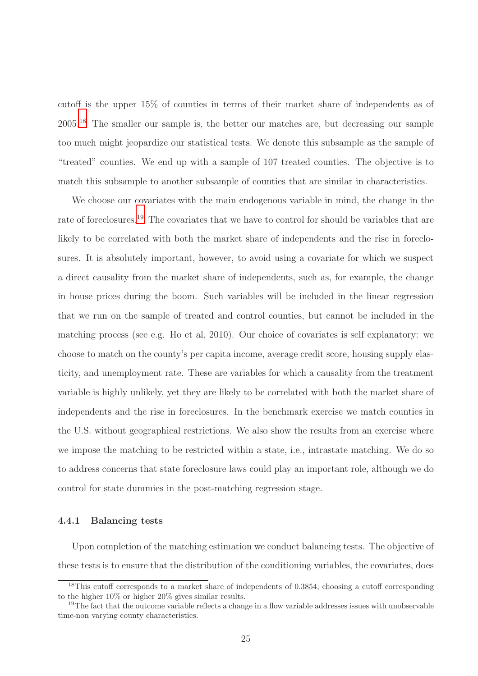cutoff is the upper 15% of counties in terms of their market share of independents as of 2005.[18](#page-24-0) The smaller our sample is, the better our matches are, but decreasing our sample too much might jeopardize our statistical tests. We denote this subsample as the sample of "treated" counties. We end up with a sample of 107 treated counties. The objective is to match this subsample to another subsample of counties that are similar in characteristics.

We choose our covariates with the main endogenous variable in mind, the change in the rate of foreclosures.<sup>[19](#page-24-1)</sup> The covariates that we have to control for should be variables that are likely to be correlated with both the market share of independents and the rise in foreclosures. It is absolutely important, however, to avoid using a covariate for which we suspect a direct causality from the market share of independents, such as, for example, the change in house prices during the boom. Such variables will be included in the linear regression that we run on the sample of treated and control counties, but cannot be included in the matching process (see e.g. Ho et al, 2010). Our choice of covariates is self explanatory: we choose to match on the county's per capita income, average credit score, housing supply elasticity, and unemployment rate. These are variables for which a causality from the treatment variable is highly unlikely, yet they are likely to be correlated with both the market share of independents and the rise in foreclosures. In the benchmark exercise we match counties in the U.S. without geographical restrictions. We also show the results from an exercise where we impose the matching to be restricted within a state, i.e., intrastate matching. We do so to address concerns that state foreclosure laws could play an important role, although we do control for state dummies in the post-matching regression stage.

### 4.4.1 Balancing tests

Upon completion of the matching estimation we conduct balancing tests. The objective of these tests is to ensure that the distribution of the conditioning variables, the covariates, does

<span id="page-24-0"></span><sup>18</sup>This cutoff corresponds to a market share of independents of 0.3854; choosing a cutoff corresponding to the higher 10% or higher 20% gives similar results.

<span id="page-24-1"></span><sup>&</sup>lt;sup>19</sup>The fact that the outcome variable reflects a change in a flow variable addresses issues with unobservable time-non varying county characteristics.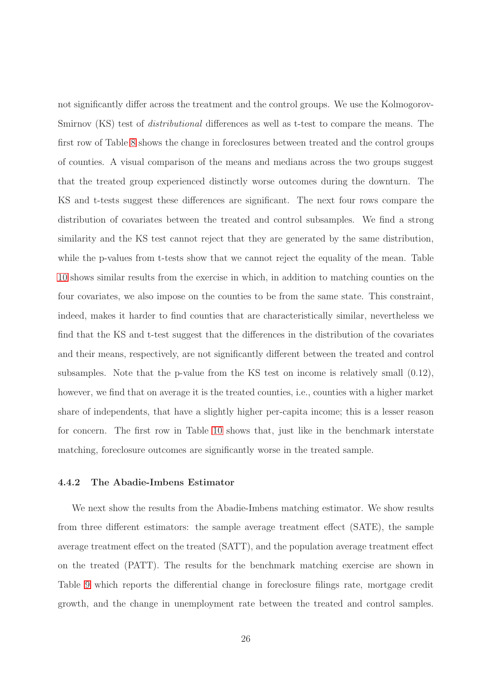not significantly differ across the treatment and the control groups. We use the Kolmogorov-Smirnov (KS) test of *distributional* differences as well as t-test to compare the means. The first row of Table [8](#page-58-0) shows the change in foreclosures between treated and the control groups of counties. A visual comparison of the means and medians across the two groups suggest that the treated group experienced distinctly worse outcomes during the downturn. The KS and t-tests suggest these differences are significant. The next four rows compare the distribution of covariates between the treated and control subsamples. We find a strong similarity and the KS test cannot reject that they are generated by the same distribution, while the p-values from t-tests show that we cannot reject the equality of the mean. Table [10](#page-59-0) shows similar results from the exercise in which, in addition to matching counties on the four covariates, we also impose on the counties to be from the same state. This constraint, indeed, makes it harder to find counties that are characteristically similar, nevertheless we find that the KS and t-test suggest that the differences in the distribution of the covariates and their means, respectively, are not significantly different between the treated and control subsamples. Note that the p-value from the KS test on income is relatively small (0.12), however, we find that on average it is the treated counties, i.e., counties with a higher market share of independents, that have a slightly higher per-capita income; this is a lesser reason for concern. The first row in Table [10](#page-59-0) shows that, just like in the benchmark interstate matching, foreclosure outcomes are significantly worse in the treated sample.

### 4.4.2 The Abadie-Imbens Estimator

We next show the results from the Abadie-Imbens matching estimator. We show results from three different estimators: the sample average treatment effect (SATE), the sample average treatment effect on the treated (SATT), and the population average treatment effect on the treated (PATT). The results for the benchmark matching exercise are shown in Table [9](#page-58-1) which reports the differential change in foreclosure filings rate, mortgage credit growth, and the change in unemployment rate between the treated and control samples.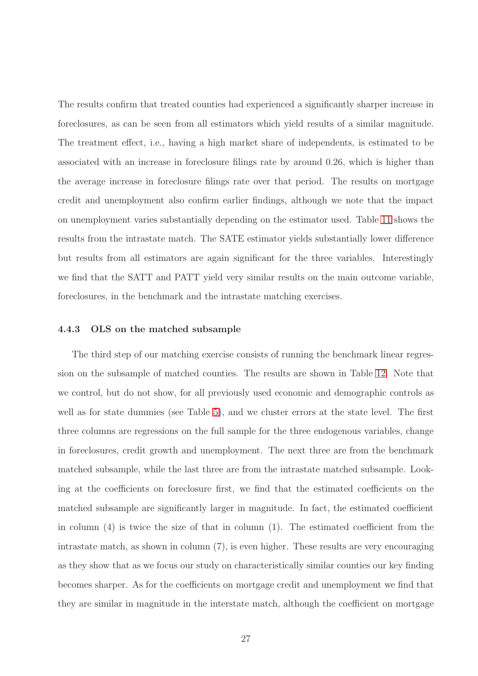The results confirm that treated counties had experienced a significantly sharper increase in foreclosures, as can be seen from all estimators which yield results of a similar magnitude. The treatment effect, i.e., having a high market share of independents, is estimated to be associated with an increase in foreclosure filings rate by around 0.26, which is higher than the average increase in foreclosure filings rate over that period. The results on mortgage credit and unemployment also confirm earlier findings, although we note that the impact on unemployment varies substantially depending on the estimator used. Table [11](#page-59-1) shows the results from the intrastate match. The SATE estimator yields substantially lower difference but results from all estimators are again significant for the three variables. Interestingly we find that the SATT and PATT yield very similar results on the main outcome variable, foreclosures, in the benchmark and the intrastate matching exercises.

### 4.4.3 OLS on the matched subsample

The third step of our matching exercise consists of running the benchmark linear regression on the subsample of matched counties. The results are shown in Table [12.](#page-60-0) Note that we control, but do not show, for all previously used economic and demographic controls as well as for state dummies (see Table [5\)](#page-55-0), and we cluster errors at the state level. The first three columns are regressions on the full sample for the three endogenous variables, change in foreclosures, credit growth and unemployment. The next three are from the benchmark matched subsample, while the last three are from the intrastate matched subsample. Looking at the coefficients on foreclosure first, we find that the estimated coefficients on the matched subsample are significantly larger in magnitude. In fact, the estimated coefficient in column  $(4)$  is twice the size of that in column  $(1)$ . The estimated coefficient from the intrastate match, as shown in column (7), is even higher. These results are very encouraging as they show that as we focus our study on characteristically similar counties our key finding becomes sharper. As for the coefficients on mortgage credit and unemployment we find that they are similar in magnitude in the interstate match, although the coefficient on mortgage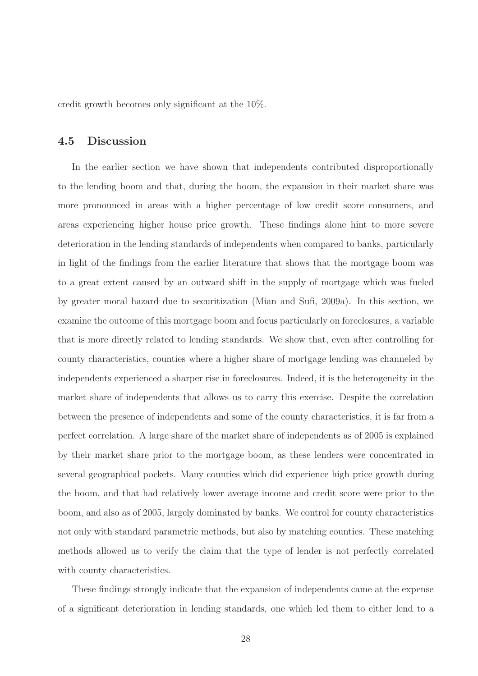credit growth becomes only significant at the 10%.

## 4.5 Discussion

In the earlier section we have shown that independents contributed disproportionally to the lending boom and that, during the boom, the expansion in their market share was more pronounced in areas with a higher percentage of low credit score consumers, and areas experiencing higher house price growth. These findings alone hint to more severe deterioration in the lending standards of independents when compared to banks, particularly in light of the findings from the earlier literature that shows that the mortgage boom was to a great extent caused by an outward shift in the supply of mortgage which was fueled by greater moral hazard due to securitization (Mian and Sufi, 2009a). In this section, we examine the outcome of this mortgage boom and focus particularly on foreclosures, a variable that is more directly related to lending standards. We show that, even after controlling for county characteristics, counties where a higher share of mortgage lending was channeled by independents experienced a sharper rise in foreclosures. Indeed, it is the heterogeneity in the market share of independents that allows us to carry this exercise. Despite the correlation between the presence of independents and some of the county characteristics, it is far from a perfect correlation. A large share of the market share of independents as of 2005 is explained by their market share prior to the mortgage boom, as these lenders were concentrated in several geographical pockets. Many counties which did experience high price growth during the boom, and that had relatively lower average income and credit score were prior to the boom, and also as of 2005, largely dominated by banks. We control for county characteristics not only with standard parametric methods, but also by matching counties. These matching methods allowed us to verify the claim that the type of lender is not perfectly correlated with county characteristics.

These findings strongly indicate that the expansion of independents came at the expense of a significant deterioration in lending standards, one which led them to either lend to a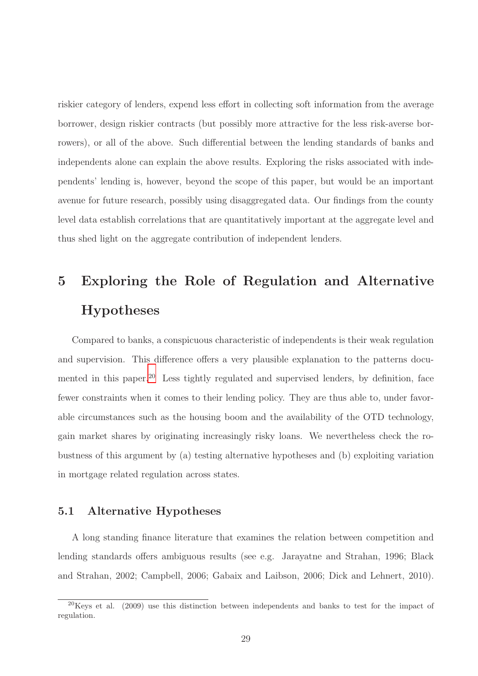riskier category of lenders, expend less effort in collecting soft information from the average borrower, design riskier contracts (but possibly more attractive for the less risk-averse borrowers), or all of the above. Such differential between the lending standards of banks and independents alone can explain the above results. Exploring the risks associated with independents' lending is, however, beyond the scope of this paper, but would be an important avenue for future research, possibly using disaggregated data. Our findings from the county level data establish correlations that are quantitatively important at the aggregate level and thus shed light on the aggregate contribution of independent lenders.

# 5 Exploring the Role of Regulation and Alternative Hypotheses

Compared to banks, a conspicuous characteristic of independents is their weak regulation and supervision. This difference offers a very plausible explanation to the patterns docu-mented in this paper.<sup>[20](#page-28-0)</sup> Less tightly regulated and supervised lenders, by definition, face fewer constraints when it comes to their lending policy. They are thus able to, under favorable circumstances such as the housing boom and the availability of the OTD technology, gain market shares by originating increasingly risky loans. We nevertheless check the robustness of this argument by (a) testing alternative hypotheses and (b) exploiting variation in mortgage related regulation across states.

### 5.1 Alternative Hypotheses

A long standing finance literature that examines the relation between competition and lending standards offers ambiguous results (see e.g. Jarayatne and Strahan, 1996; Black and Strahan, 2002; Campbell, 2006; Gabaix and Laibson, 2006; Dick and Lehnert, 2010).

<span id="page-28-0"></span> $20$ Keys et al. (2009) use this distinction between independents and banks to test for the impact of regulation.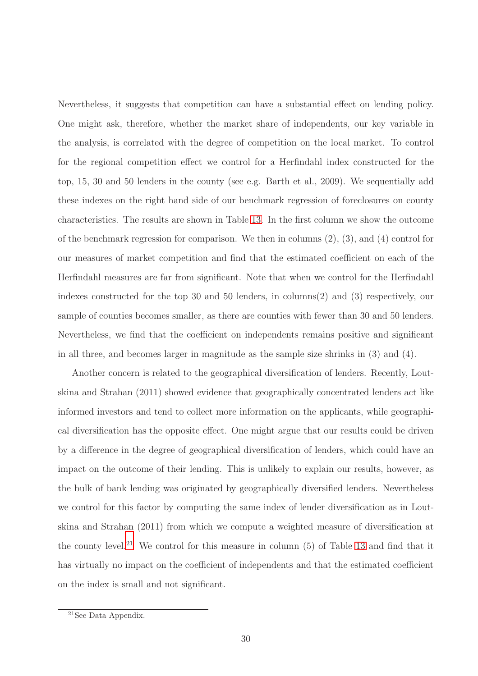Nevertheless, it suggests that competition can have a substantial effect on lending policy. One might ask, therefore, whether the market share of independents, our key variable in the analysis, is correlated with the degree of competition on the local market. To control for the regional competition effect we control for a Herfindahl index constructed for the top, 15, 30 and 50 lenders in the county (see e.g. Barth et al., 2009). We sequentially add these indexes on the right hand side of our benchmark regression of foreclosures on county characteristics. The results are shown in Table [13.](#page-61-0) In the first column we show the outcome of the benchmark regression for comparison. We then in columns  $(2)$ ,  $(3)$ , and  $(4)$  control for our measures of market competition and find that the estimated coefficient on each of the Herfindahl measures are far from significant. Note that when we control for the Herfindahl indexes constructed for the top 30 and 50 lenders, in columns(2) and (3) respectively, our sample of counties becomes smaller, as there are counties with fewer than 30 and 50 lenders. Nevertheless, we find that the coefficient on independents remains positive and significant in all three, and becomes larger in magnitude as the sample size shrinks in (3) and (4).

Another concern is related to the geographical diversification of lenders. Recently, Loutskina and Strahan (2011) showed evidence that geographically concentrated lenders act like informed investors and tend to collect more information on the applicants, while geographical diversification has the opposite effect. One might argue that our results could be driven by a difference in the degree of geographical diversification of lenders, which could have an impact on the outcome of their lending. This is unlikely to explain our results, however, as the bulk of bank lending was originated by geographically diversified lenders. Nevertheless we control for this factor by computing the same index of lender diversification as in Loutskina and Strahan (2011) from which we compute a weighted measure of diversification at the county level.<sup>[21](#page-29-0)</sup> We control for this measure in column  $(5)$  of Table [13](#page-61-0) and find that it has virtually no impact on the coefficient of independents and that the estimated coefficient on the index is small and not significant.

<span id="page-29-0"></span><sup>21</sup>See Data Appendix.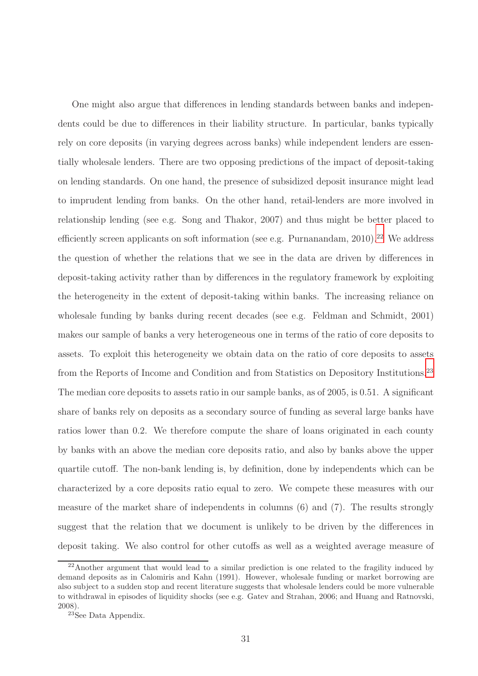One might also argue that differences in lending standards between banks and independents could be due to differences in their liability structure. In particular, banks typically rely on core deposits (in varying degrees across banks) while independent lenders are essentially wholesale lenders. There are two opposing predictions of the impact of deposit-taking on lending standards. On one hand, the presence of subsidized deposit insurance might lead to imprudent lending from banks. On the other hand, retail-lenders are more involved in relationship lending (see e.g. Song and Thakor, 2007) and thus might be better placed to efficiently screen applicants on soft information (see e.g. Purnanandam,  $2010$ ).<sup>[22](#page-30-0)</sup> We address the question of whether the relations that we see in the data are driven by differences in deposit-taking activity rather than by differences in the regulatory framework by exploiting the heterogeneity in the extent of deposit-taking within banks. The increasing reliance on wholesale funding by banks during recent decades (see e.g. Feldman and Schmidt, 2001) makes our sample of banks a very heterogeneous one in terms of the ratio of core deposits to assets. To exploit this heterogeneity we obtain data on the ratio of core deposits to assets from the Reports of Income and Condition and from Statistics on Depository Institutions.[23](#page-30-1) The median core deposits to assets ratio in our sample banks, as of 2005, is 0.51. A significant share of banks rely on deposits as a secondary source of funding as several large banks have ratios lower than 0.2. We therefore compute the share of loans originated in each county by banks with an above the median core deposits ratio, and also by banks above the upper quartile cutoff. The non-bank lending is, by definition, done by independents which can be characterized by a core deposits ratio equal to zero. We compete these measures with our measure of the market share of independents in columns (6) and (7). The results strongly suggest that the relation that we document is unlikely to be driven by the differences in deposit taking. We also control for other cutoffs as well as a weighted average measure of

<span id="page-30-0"></span> $22\lambda$  hother argument that would lead to a similar prediction is one related to the fragility induced by demand deposits as in Calomiris and Kahn (1991). However, wholesale funding or market borrowing are also subject to a sudden stop and recent literature suggests that wholesale lenders could be more vulnerable to withdrawal in episodes of liquidity shocks (see e.g. Gatev and Strahan, 2006; and Huang and Ratnovski, 2008).

<span id="page-30-1"></span><sup>&</sup>lt;sup>23</sup>See Data Appendix.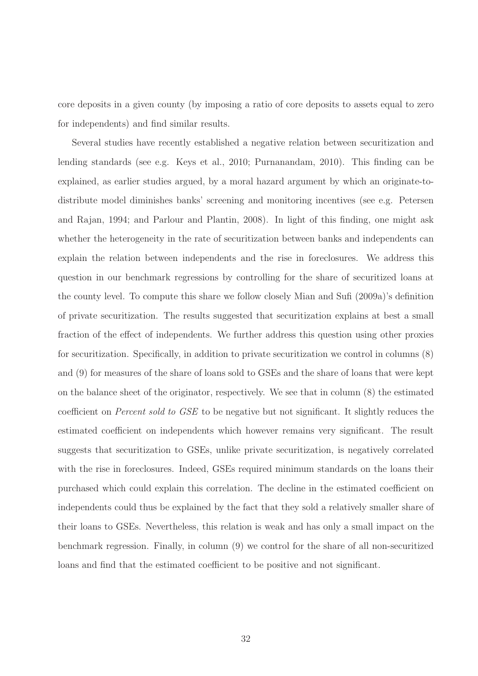core deposits in a given county (by imposing a ratio of core deposits to assets equal to zero for independents) and find similar results.

Several studies have recently established a negative relation between securitization and lending standards (see e.g. Keys et al., 2010; Purnanandam, 2010). This finding can be explained, as earlier studies argued, by a moral hazard argument by which an originate-todistribute model diminishes banks' screening and monitoring incentives (see e.g. Petersen and Rajan, 1994; and Parlour and Plantin, 2008). In light of this finding, one might ask whether the heterogeneity in the rate of securitization between banks and independents can explain the relation between independents and the rise in foreclosures. We address this question in our benchmark regressions by controlling for the share of securitized loans at the county level. To compute this share we follow closely Mian and Sufi (2009a)'s definition of private securitization. The results suggested that securitization explains at best a small fraction of the effect of independents. We further address this question using other proxies for securitization. Specifically, in addition to private securitization we control in columns (8) and (9) for measures of the share of loans sold to GSEs and the share of loans that were kept on the balance sheet of the originator, respectively. We see that in column (8) the estimated coefficient on Percent sold to GSE to be negative but not significant. It slightly reduces the estimated coefficient on independents which however remains very significant. The result suggests that securitization to GSEs, unlike private securitization, is negatively correlated with the rise in foreclosures. Indeed, GSEs required minimum standards on the loans their purchased which could explain this correlation. The decline in the estimated coefficient on independents could thus be explained by the fact that they sold a relatively smaller share of their loans to GSEs. Nevertheless, this relation is weak and has only a small impact on the benchmark regression. Finally, in column (9) we control for the share of all non-securitized loans and find that the estimated coefficient to be positive and not significant.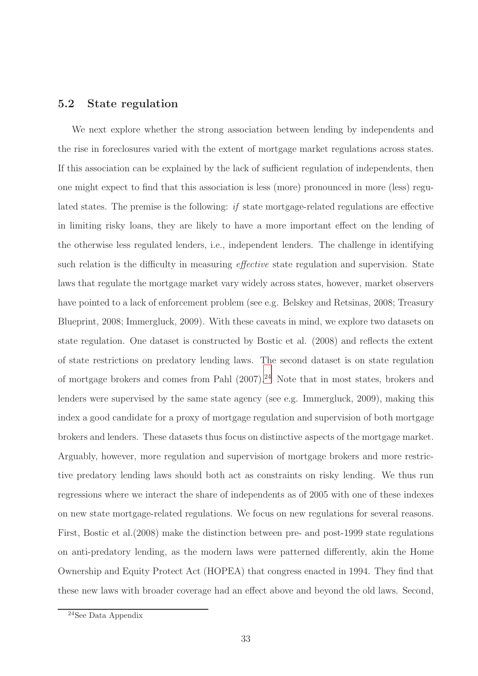### 5.2 State regulation

We next explore whether the strong association between lending by independents and the rise in foreclosures varied with the extent of mortgage market regulations across states. If this association can be explained by the lack of sufficient regulation of independents, then one might expect to find that this association is less (more) pronounced in more (less) regulated states. The premise is the following: if state mortgage-related regulations are effective in limiting risky loans, they are likely to have a more important effect on the lending of the otherwise less regulated lenders, i.e., independent lenders. The challenge in identifying such relation is the difficulty in measuring *effective* state regulation and supervision. State laws that regulate the mortgage market vary widely across states, however, market observers have pointed to a lack of enforcement problem (see e.g. Belskey and Retsinas, 2008; Treasury Blueprint, 2008; Immergluck, 2009). With these caveats in mind, we explore two datasets on state regulation. One dataset is constructed by Bostic et al. (2008) and reflects the extent of state restrictions on predatory lending laws. The second dataset is on state regulation of mortgage brokers and comes from Pahl  $(2007).^{24}$  $(2007).^{24}$  $(2007).^{24}$  Note that in most states, brokers and lenders were supervised by the same state agency (see e.g. Immergluck, 2009), making this index a good candidate for a proxy of mortgage regulation and supervision of both mortgage brokers and lenders. These datasets thus focus on distinctive aspects of the mortgage market. Arguably, however, more regulation and supervision of mortgage brokers and more restrictive predatory lending laws should both act as constraints on risky lending. We thus run regressions where we interact the share of independents as of 2005 with one of these indexes on new state mortgage-related regulations. We focus on new regulations for several reasons. First, Bostic et al.(2008) make the distinction between pre- and post-1999 state regulations on anti-predatory lending, as the modern laws were patterned differently, akin the Home Ownership and Equity Protect Act (HOPEA) that congress enacted in 1994. They find that these new laws with broader coverage had an effect above and beyond the old laws. Second,

<span id="page-32-0"></span><sup>24</sup>See Data Appendix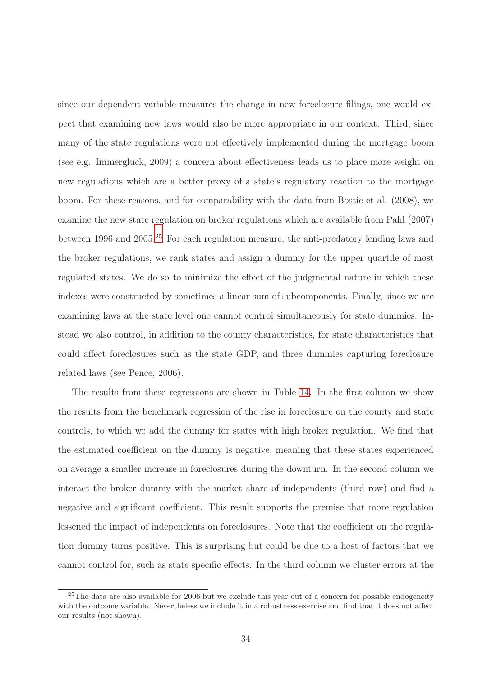since our dependent variable measures the change in new foreclosure filings, one would expect that examining new laws would also be more appropriate in our context. Third, since many of the state regulations were not effectively implemented during the mortgage boom (see e.g. Immergluck, 2009) a concern about effectiveness leads us to place more weight on new regulations which are a better proxy of a state's regulatory reaction to the mortgage boom. For these reasons, and for comparability with the data from Bostic et al. (2008), we examine the new state regulation on broker regulations which are available from Pahl (2007) between 1996 and 2005.[25](#page-33-0) For each regulation measure, the anti-predatory lending laws and the broker regulations, we rank states and assign a dummy for the upper quartile of most regulated states. We do so to minimize the effect of the judgmental nature in which these indexes were constructed by sometimes a linear sum of subcomponents. Finally, since we are examining laws at the state level one cannot control simultaneously for state dummies. Instead we also control, in addition to the county characteristics, for state characteristics that could affect foreclosures such as the state GDP, and three dummies capturing foreclosure related laws (see Pence, 2006).

The results from these regressions are shown in Table [14.](#page-62-0) In the first column we show the results from the benchmark regression of the rise in foreclosure on the county and state controls, to which we add the dummy for states with high broker regulation. We find that the estimated coefficient on the dummy is negative, meaning that these states experienced on average a smaller increase in foreclosures during the downturn. In the second column we interact the broker dummy with the market share of independents (third row) and find a negative and significant coefficient. This result supports the premise that more regulation lessened the impact of independents on foreclosures. Note that the coefficient on the regulation dummy turns positive. This is surprising but could be due to a host of factors that we cannot control for, such as state specific effects. In the third column we cluster errors at the

<span id="page-33-0"></span><sup>&</sup>lt;sup>25</sup>The data are also available for 2006 but we exclude this year out of a concern for possible endogeneity with the outcome variable. Nevertheless we include it in a robustness exercise and find that it does not affect our results (not shown).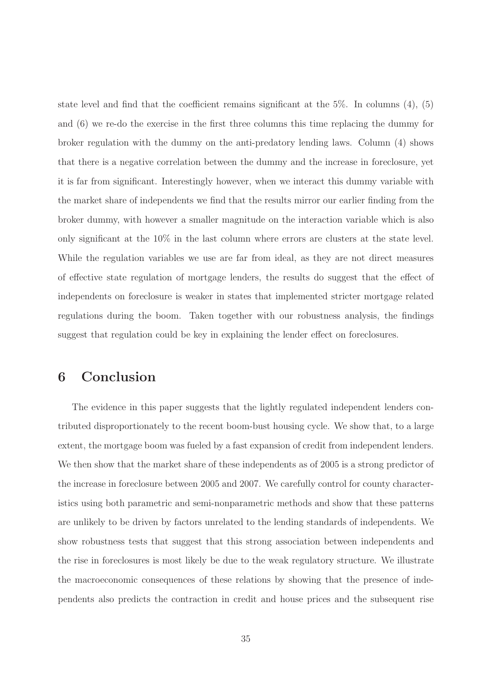state level and find that the coefficient remains significant at the  $5\%$ . In columns  $(4)$ ,  $(5)$ and (6) we re-do the exercise in the first three columns this time replacing the dummy for broker regulation with the dummy on the anti-predatory lending laws. Column (4) shows that there is a negative correlation between the dummy and the increase in foreclosure, yet it is far from significant. Interestingly however, when we interact this dummy variable with the market share of independents we find that the results mirror our earlier finding from the broker dummy, with however a smaller magnitude on the interaction variable which is also only significant at the 10% in the last column where errors are clusters at the state level. While the regulation variables we use are far from ideal, as they are not direct measures of effective state regulation of mortgage lenders, the results do suggest that the effect of independents on foreclosure is weaker in states that implemented stricter mortgage related regulations during the boom. Taken together with our robustness analysis, the findings suggest that regulation could be key in explaining the lender effect on foreclosures.

# 6 Conclusion

The evidence in this paper suggests that the lightly regulated independent lenders contributed disproportionately to the recent boom-bust housing cycle. We show that, to a large extent, the mortgage boom was fueled by a fast expansion of credit from independent lenders. We then show that the market share of these independents as of 2005 is a strong predictor of the increase in foreclosure between 2005 and 2007. We carefully control for county characteristics using both parametric and semi-nonparametric methods and show that these patterns are unlikely to be driven by factors unrelated to the lending standards of independents. We show robustness tests that suggest that this strong association between independents and the rise in foreclosures is most likely be due to the weak regulatory structure. We illustrate the macroeconomic consequences of these relations by showing that the presence of independents also predicts the contraction in credit and house prices and the subsequent rise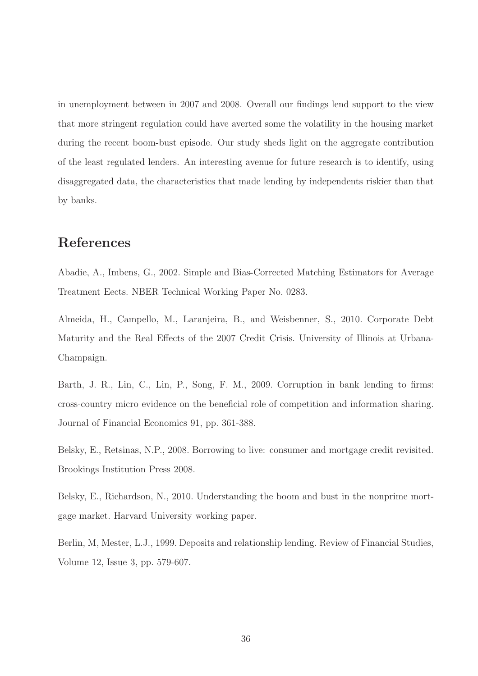in unemployment between in 2007 and 2008. Overall our findings lend support to the view that more stringent regulation could have averted some the volatility in the housing market during the recent boom-bust episode. Our study sheds light on the aggregate contribution of the least regulated lenders. An interesting avenue for future research is to identify, using disaggregated data, the characteristics that made lending by independents riskier than that by banks.

# References

Abadie, A., Imbens, G., 2002. Simple and Bias-Corrected Matching Estimators for Average Treatment Eects. NBER Technical Working Paper No. 0283.

Almeida, H., Campello, M., Laranjeira, B., and Weisbenner, S., 2010. Corporate Debt Maturity and the Real Effects of the 2007 Credit Crisis. University of Illinois at Urbana-Champaign.

Barth, J. R., Lin, C., Lin, P., Song, F. M., 2009. Corruption in bank lending to firms: cross-country micro evidence on the beneficial role of competition and information sharing. Journal of Financial Economics 91, pp. 361-388.

Belsky, E., Retsinas, N.P., 2008. Borrowing to live: consumer and mortgage credit revisited. Brookings Institution Press 2008.

Belsky, E., Richardson, N., 2010. Understanding the boom and bust in the nonprime mortgage market. Harvard University working paper.

Berlin, M, Mester, L.J., 1999. Deposits and relationship lending. Review of Financial Studies, Volume 12, Issue 3, pp. 579-607.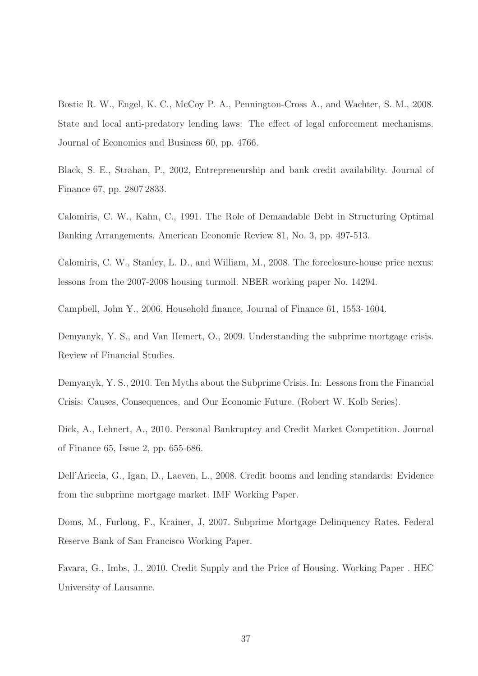Bostic R. W., Engel, K. C., McCoy P. A., Pennington-Cross A., and Wachter, S. M., 2008. State and local anti-predatory lending laws: The effect of legal enforcement mechanisms. Journal of Economics and Business 60, pp. 4766.

Black, S. E., Strahan, P., 2002, Entrepreneurship and bank credit availability. Journal of Finance 67, pp. 2807 2833.

Calomiris, C. W., Kahn, C., 1991. The Role of Demandable Debt in Structuring Optimal Banking Arrangements. American Economic Review 81, No. 3, pp. 497-513.

Calomiris, C. W., Stanley, L. D., and William, M., 2008. The foreclosure-house price nexus: lessons from the 2007-2008 housing turmoil. NBER working paper No. 14294.

Campbell, John Y., 2006, Household finance, Journal of Finance 61, 1553- 1604.

Demyanyk, Y. S., and Van Hemert, O., 2009. Understanding the subprime mortgage crisis. Review of Financial Studies.

Demyanyk, Y. S., 2010. Ten Myths about the Subprime Crisis. In: Lessons from the Financial Crisis: Causes, Consequences, and Our Economic Future. (Robert W. Kolb Series).

Dick, A., Lehnert, A., 2010. Personal Bankruptcy and Credit Market Competition. Journal of Finance 65, Issue 2, pp. 655-686.

Dell'Ariccia, G., Igan, D., Laeven, L., 2008. Credit booms and lending standards: Evidence from the subprime mortgage market. IMF Working Paper.

Doms, M., Furlong, F., Krainer, J, 2007. Subprime Mortgage Delinquency Rates. Federal Reserve Bank of San Francisco Working Paper.

Favara, G., Imbs, J., 2010. Credit Supply and the Price of Housing. Working Paper . HEC University of Lausanne.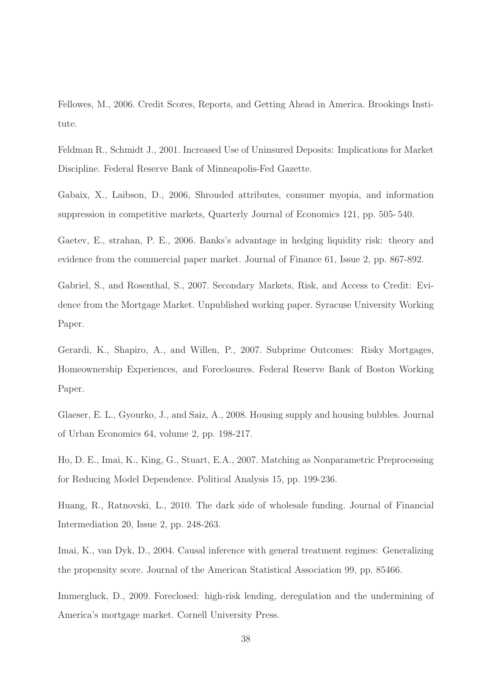Fellowes, M., 2006. Credit Scores, Reports, and Getting Ahead in America. Brookings Institute.

Feldman R., Schmidt J., 2001. Increased Use of Uninsured Deposits: Implications for Market Discipline. Federal Reserve Bank of Minneapolis-Fed Gazette.

Gabaix, X., Laibson, D., 2006, Shrouded attributes, consumer myopia, and information suppression in competitive markets, Quarterly Journal of Economics 121, pp. 505- 540.

Gaetev, E., strahan, P. E., 2006. Banks's advantage in hedging liquidity risk: theory and evidence from the commercial paper market. Journal of Finance 61, Issue 2, pp. 867-892.

Gabriel, S., and Rosenthal, S., 2007. Secondary Markets, Risk, and Access to Credit: Evidence from the Mortgage Market. Unpublished working paper. Syracuse University Working Paper.

Gerardi, K., Shapiro, A., and Willen, P., 2007. Subprime Outcomes: Risky Mortgages, Homeownership Experiences, and Foreclosures. Federal Reserve Bank of Boston Working Paper.

Glaeser, E. L., Gyourko, J., and Saiz, A., 2008. Housing supply and housing bubbles. Journal of Urban Economics 64, volume 2, pp. 198-217.

Ho, D. E., Imai, K., King, G., Stuart, E.A., 2007. Matching as Nonparametric Preprocessing for Reducing Model Dependence. Political Analysis 15, pp. 199-236.

Huang, R., Ratnovski, L., 2010. The dark side of wholesale funding. Journal of Financial Intermediation 20, Issue 2, pp. 248-263.

Imai, K., van Dyk, D., 2004. Causal inference with general treatment regimes: Generalizing the propensity score. Journal of the American Statistical Association 99, pp. 85466.

Immergluck, D., 2009. Foreclosed: high-risk lending, deregulation and the undermining of America's mortgage market. Cornell University Press.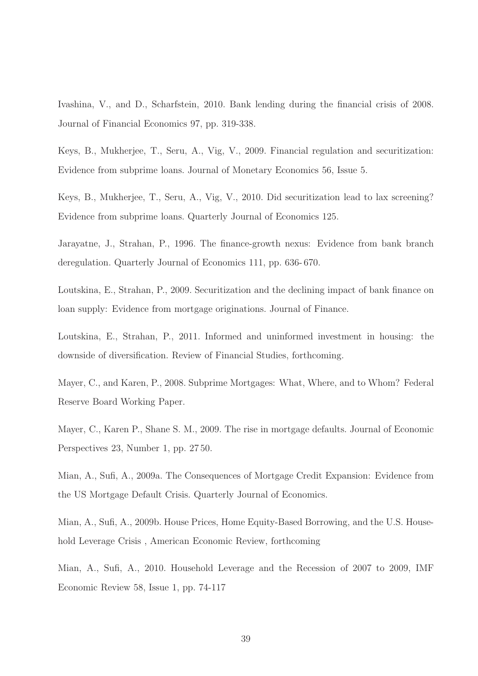Ivashina, V., and D., Scharfstein, 2010. Bank lending during the financial crisis of 2008. Journal of Financial Economics 97, pp. 319-338.

Keys, B., Mukherjee, T., Seru, A., Vig, V., 2009. Financial regulation and securitization: Evidence from subprime loans. Journal of Monetary Economics 56, Issue 5.

Keys, B., Mukherjee, T., Seru, A., Vig, V., 2010. Did securitization lead to lax screening? Evidence from subprime loans. Quarterly Journal of Economics 125.

Jarayatne, J., Strahan, P., 1996. The finance-growth nexus: Evidence from bank branch deregulation. Quarterly Journal of Economics 111, pp. 636- 670.

Loutskina, E., Strahan, P., 2009. Securitization and the declining impact of bank finance on loan supply: Evidence from mortgage originations. Journal of Finance.

Loutskina, E., Strahan, P., 2011. Informed and uninformed investment in housing: the downside of diversification. Review of Financial Studies, forthcoming.

Mayer, C., and Karen, P., 2008. Subprime Mortgages: What, Where, and to Whom? Federal Reserve Board Working Paper.

Mayer, C., Karen P., Shane S. M., 2009. The rise in mortgage defaults. Journal of Economic Perspectives 23, Number 1, pp. 27 50.

Mian, A., Sufi, A., 2009a. The Consequences of Mortgage Credit Expansion: Evidence from the US Mortgage Default Crisis. Quarterly Journal of Economics.

Mian, A., Sufi, A., 2009b. House Prices, Home Equity-Based Borrowing, and the U.S. Household Leverage Crisis , American Economic Review, forthcoming

Mian, A., Sufi, A., 2010. Household Leverage and the Recession of 2007 to 2009, IMF Economic Review 58, Issue 1, pp. 74-117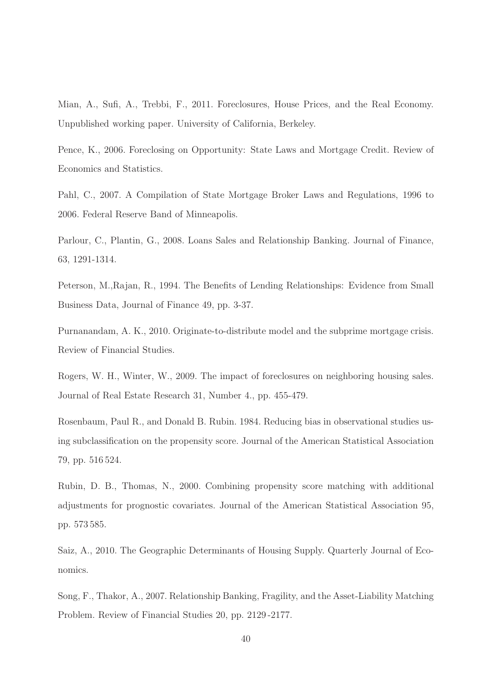Mian, A., Sufi, A., Trebbi, F., 2011. Foreclosures, House Prices, and the Real Economy. Unpublished working paper. University of California, Berkeley.

Pence, K., 2006. Foreclosing on Opportunity: State Laws and Mortgage Credit. Review of Economics and Statistics.

Pahl, C., 2007. A Compilation of State Mortgage Broker Laws and Regulations, 1996 to 2006. Federal Reserve Band of Minneapolis.

Parlour, C., Plantin, G., 2008. Loans Sales and Relationship Banking. Journal of Finance, 63, 1291-1314.

Peterson, M.,Rajan, R., 1994. The Benefits of Lending Relationships: Evidence from Small Business Data, Journal of Finance 49, pp. 3-37.

Purnanandam, A. K., 2010. Originate-to-distribute model and the subprime mortgage crisis. Review of Financial Studies.

Rogers, W. H., Winter, W., 2009. The impact of foreclosures on neighboring housing sales. Journal of Real Estate Research 31, Number 4., pp. 455-479.

Rosenbaum, Paul R., and Donald B. Rubin. 1984. Reducing bias in observational studies using subclassification on the propensity score. Journal of the American Statistical Association 79, pp. 516 524.

Rubin, D. B., Thomas, N., 2000. Combining propensity score matching with additional adjustments for prognostic covariates. Journal of the American Statistical Association 95, pp. 573 585.

Saiz, A., 2010. The Geographic Determinants of Housing Supply. Quarterly Journal of Economics.

Song, F., Thakor, A., 2007. Relationship Banking, Fragility, and the Asset-Liability Matching Problem. Review of Financial Studies 20, pp. 2129 -2177.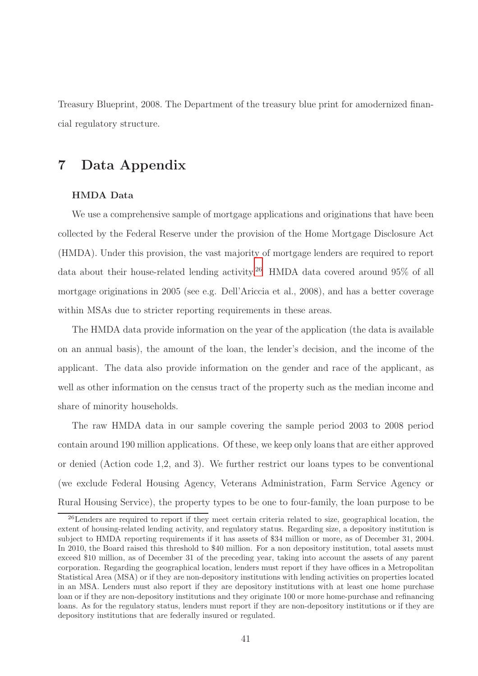Treasury Blueprint, 2008. The Department of the treasury blue print for amodernized financial regulatory structure.

# 7 Data Appendix

### HMDA Data

We use a comprehensive sample of mortgage applications and originations that have been collected by the Federal Reserve under the provision of the Home Mortgage Disclosure Act (HMDA). Under this provision, the vast majority of mortgage lenders are required to report data about their house-related lending activity.[26](#page-40-0) HMDA data covered around 95% of all mortgage originations in 2005 (see e.g. Dell'Ariccia et al., 2008), and has a better coverage within MSAs due to stricter reporting requirements in these areas.

The HMDA data provide information on the year of the application (the data is available on an annual basis), the amount of the loan, the lender's decision, and the income of the applicant. The data also provide information on the gender and race of the applicant, as well as other information on the census tract of the property such as the median income and share of minority households.

The raw HMDA data in our sample covering the sample period 2003 to 2008 period contain around 190 million applications. Of these, we keep only loans that are either approved or denied (Action code 1,2, and 3). We further restrict our loans types to be conventional (we exclude Federal Housing Agency, Veterans Administration, Farm Service Agency or Rural Housing Service), the property types to be one to four-family, the loan purpose to be

<span id="page-40-0"></span><sup>&</sup>lt;sup>26</sup>Lenders are required to report if they meet certain criteria related to size, geographical location, the extent of housing-related lending activity, and regulatory status. Regarding size, a depository institution is subject to HMDA reporting requirements if it has assets of \$34 million or more, as of December 31, 2004. In 2010, the Board raised this threshold to \$40 million. For a non depository institution, total assets must exceed \$10 million, as of December 31 of the preceding year, taking into account the assets of any parent corporation. Regarding the geographical location, lenders must report if they have offices in a Metropolitan Statistical Area (MSA) or if they are non-depository institutions with lending activities on properties located in an MSA. Lenders must also report if they are depository institutions with at least one home purchase loan or if they are non-depository institutions and they originate 100 or more home-purchase and refinancing loans. As for the regulatory status, lenders must report if they are non-depository institutions or if they are depository institutions that are federally insured or regulated.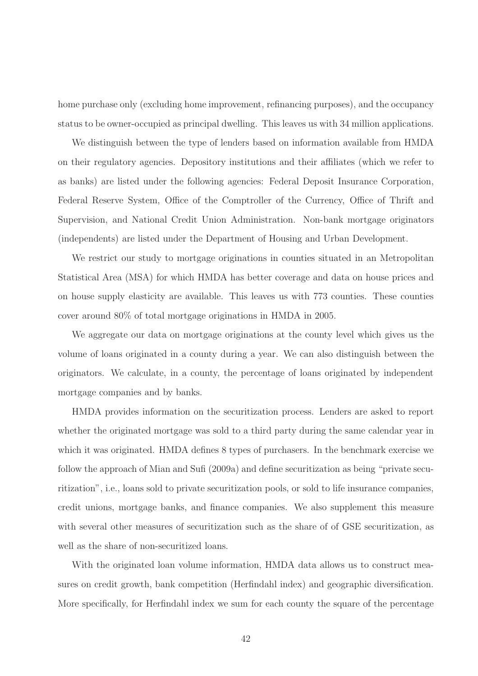home purchase only (excluding home improvement, refinancing purposes), and the occupancy status to be owner-occupied as principal dwelling. This leaves us with 34 million applications.

We distinguish between the type of lenders based on information available from HMDA on their regulatory agencies. Depository institutions and their affiliates (which we refer to as banks) are listed under the following agencies: Federal Deposit Insurance Corporation, Federal Reserve System, Office of the Comptroller of the Currency, Office of Thrift and Supervision, and National Credit Union Administration. Non-bank mortgage originators (independents) are listed under the Department of Housing and Urban Development.

We restrict our study to mortgage originations in counties situated in an Metropolitan Statistical Area (MSA) for which HMDA has better coverage and data on house prices and on house supply elasticity are available. This leaves us with 773 counties. These counties cover around 80% of total mortgage originations in HMDA in 2005.

We aggregate our data on mortgage originations at the county level which gives us the volume of loans originated in a county during a year. We can also distinguish between the originators. We calculate, in a county, the percentage of loans originated by independent mortgage companies and by banks.

HMDA provides information on the securitization process. Lenders are asked to report whether the originated mortgage was sold to a third party during the same calendar year in which it was originated. HMDA defines 8 types of purchasers. In the benchmark exercise we follow the approach of Mian and Sufi (2009a) and define securitization as being "private securitization", i.e., loans sold to private securitization pools, or sold to life insurance companies, credit unions, mortgage banks, and finance companies. We also supplement this measure with several other measures of securitization such as the share of of GSE securitization, as well as the share of non-securitized loans.

With the originated loan volume information, HMDA data allows us to construct measures on credit growth, bank competition (Herfindahl index) and geographic diversification. More specifically, for Herfindahl index we sum for each county the square of the percentage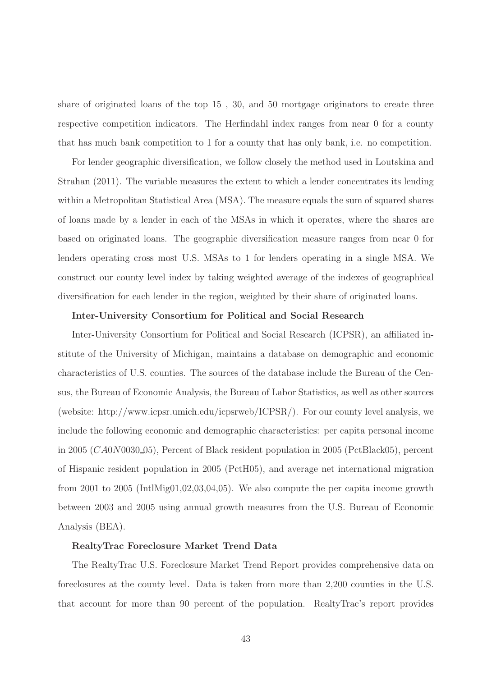share of originated loans of the top 15 , 30, and 50 mortgage originators to create three respective competition indicators. The Herfindahl index ranges from near 0 for a county that has much bank competition to 1 for a county that has only bank, i.e. no competition.

For lender geographic diversification, we follow closely the method used in Loutskina and Strahan (2011). The variable measures the extent to which a lender concentrates its lending within a Metropolitan Statistical Area (MSA). The measure equals the sum of squared shares of loans made by a lender in each of the MSAs in which it operates, where the shares are based on originated loans. The geographic diversification measure ranges from near 0 for lenders operating cross most U.S. MSAs to 1 for lenders operating in a single MSA. We construct our county level index by taking weighted average of the indexes of geographical diversification for each lender in the region, weighted by their share of originated loans.

### Inter-University Consortium for Political and Social Research

Inter-University Consortium for Political and Social Research (ICPSR), an affiliated institute of the University of Michigan, maintains a database on demographic and economic characteristics of U.S. counties. The sources of the database include the Bureau of the Census, the Bureau of Economic Analysis, the Bureau of Labor Statistics, as well as other sources (website: http://www.icpsr.umich.edu/icpsrweb/ICPSR/). For our county level analysis, we include the following economic and demographic characteristics: per capita personal income in 2005 (CA0N0030 05), Percent of Black resident population in 2005 (PctBlack05), percent of Hispanic resident population in 2005 (PctH05), and average net international migration from 2001 to 2005 (IntlMig01,02,03,04,05). We also compute the per capita income growth between 2003 and 2005 using annual growth measures from the U.S. Bureau of Economic Analysis (BEA).

### RealtyTrac Foreclosure Market Trend Data

The RealtyTrac U.S. Foreclosure Market Trend Report provides comprehensive data on foreclosures at the county level. Data is taken from more than 2,200 counties in the U.S. that account for more than 90 percent of the population. RealtyTrac's report provides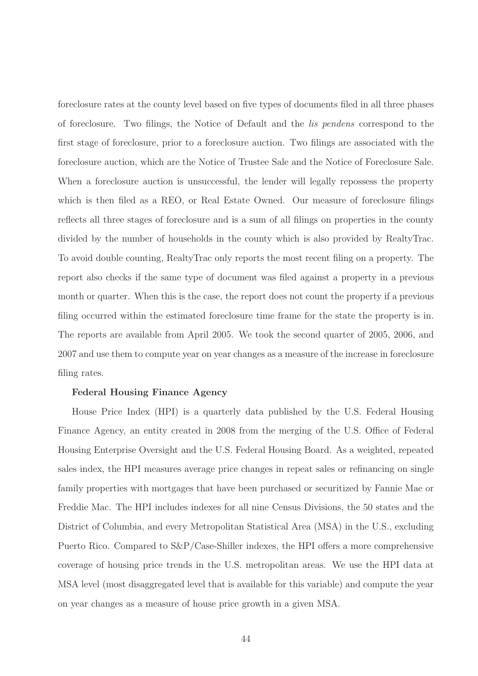foreclosure rates at the county level based on five types of documents filed in all three phases of foreclosure. Two filings, the Notice of Default and the lis pendens correspond to the first stage of foreclosure, prior to a foreclosure auction. Two filings are associated with the foreclosure auction, which are the Notice of Trustee Sale and the Notice of Foreclosure Sale. When a foreclosure auction is unsuccessful, the lender will legally repossess the property which is then filed as a REO, or Real Estate Owned. Our measure of foreclosure filings reflects all three stages of foreclosure and is a sum of all filings on properties in the county divided by the number of households in the county which is also provided by RealtyTrac. To avoid double counting, RealtyTrac only reports the most recent filing on a property. The report also checks if the same type of document was filed against a property in a previous month or quarter. When this is the case, the report does not count the property if a previous filing occurred within the estimated foreclosure time frame for the state the property is in. The reports are available from April 2005. We took the second quarter of 2005, 2006, and 2007 and use them to compute year on year changes as a measure of the increase in foreclosure filing rates.

### Federal Housing Finance Agency

House Price Index (HPI) is a quarterly data published by the U.S. Federal Housing Finance Agency, an entity created in 2008 from the merging of the U.S. Office of Federal Housing Enterprise Oversight and the U.S. Federal Housing Board. As a weighted, repeated sales index, the HPI measures average price changes in repeat sales or refinancing on single family properties with mortgages that have been purchased or securitized by Fannie Mae or Freddie Mac. The HPI includes indexes for all nine Census Divisions, the 50 states and the District of Columbia, and every Metropolitan Statistical Area (MSA) in the U.S., excluding Puerto Rico. Compared to S&P/Case-Shiller indexes, the HPI offers a more comprehensive coverage of housing price trends in the U.S. metropolitan areas. We use the HPI data at MSA level (most disaggregated level that is available for this variable) and compute the year on year changes as a measure of house price growth in a given MSA.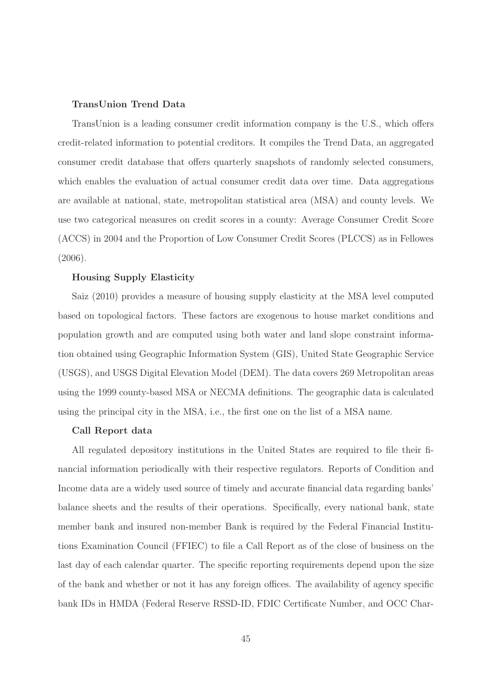### TransUnion Trend Data

TransUnion is a leading consumer credit information company is the U.S., which offers credit-related information to potential creditors. It compiles the Trend Data, an aggregated consumer credit database that offers quarterly snapshots of randomly selected consumers, which enables the evaluation of actual consumer credit data over time. Data aggregations are available at national, state, metropolitan statistical area (MSA) and county levels. We use two categorical measures on credit scores in a county: Average Consumer Credit Score (ACCS) in 2004 and the Proportion of Low Consumer Credit Scores (PLCCS) as in Fellowes (2006).

### Housing Supply Elasticity

Saiz (2010) provides a measure of housing supply elasticity at the MSA level computed based on topological factors. These factors are exogenous to house market conditions and population growth and are computed using both water and land slope constraint information obtained using Geographic Information System (GIS), United State Geographic Service (USGS), and USGS Digital Elevation Model (DEM). The data covers 269 Metropolitan areas using the 1999 county-based MSA or NECMA definitions. The geographic data is calculated using the principal city in the MSA, i.e., the first one on the list of a MSA name.

#### Call Report data

All regulated depository institutions in the United States are required to file their financial information periodically with their respective regulators. Reports of Condition and Income data are a widely used source of timely and accurate financial data regarding banks' balance sheets and the results of their operations. Specifically, every national bank, state member bank and insured non-member Bank is required by the Federal Financial Institutions Examination Council (FFIEC) to file a Call Report as of the close of business on the last day of each calendar quarter. The specific reporting requirements depend upon the size of the bank and whether or not it has any foreign offices. The availability of agency specific bank IDs in HMDA (Federal Reserve RSSD-ID, FDIC Certificate Number, and OCC Char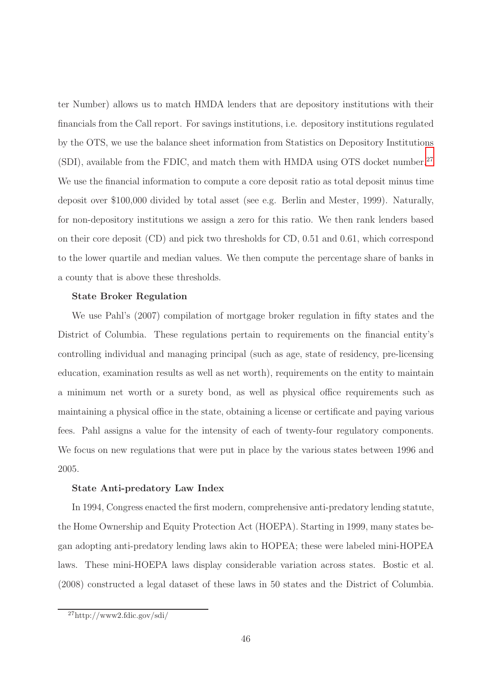ter Number) allows us to match HMDA lenders that are depository institutions with their financials from the Call report. For savings institutions, i.e. depository institutions regulated by the OTS, we use the balance sheet information from Statistics on Depository Institutions (SDI), available from the FDIC, and match them with HMDA using OTS docket number.<sup>[27](#page-45-0)</sup> We use the financial information to compute a core deposit ratio as total deposit minus time deposit over \$100,000 divided by total asset (see e.g. Berlin and Mester, 1999). Naturally, for non-depository institutions we assign a zero for this ratio. We then rank lenders based on their core deposit (CD) and pick two thresholds for CD, 0.51 and 0.61, which correspond to the lower quartile and median values. We then compute the percentage share of banks in a county that is above these thresholds.

### State Broker Regulation

We use Pahl's (2007) compilation of mortgage broker regulation in fifty states and the District of Columbia. These regulations pertain to requirements on the financial entity's controlling individual and managing principal (such as age, state of residency, pre-licensing education, examination results as well as net worth), requirements on the entity to maintain a minimum net worth or a surety bond, as well as physical office requirements such as maintaining a physical office in the state, obtaining a license or certificate and paying various fees. Pahl assigns a value for the intensity of each of twenty-four regulatory components. We focus on new regulations that were put in place by the various states between 1996 and 2005.

### State Anti-predatory Law Index

In 1994, Congress enacted the first modern, comprehensive anti-predatory lending statute, the Home Ownership and Equity Protection Act (HOEPA). Starting in 1999, many states began adopting anti-predatory lending laws akin to HOPEA; these were labeled mini-HOPEA laws. These mini-HOEPA laws display considerable variation across states. Bostic et al. (2008) constructed a legal dataset of these laws in 50 states and the District of Columbia.

<span id="page-45-0"></span> $^{27}$ http://www2.fdic.gov/sdi/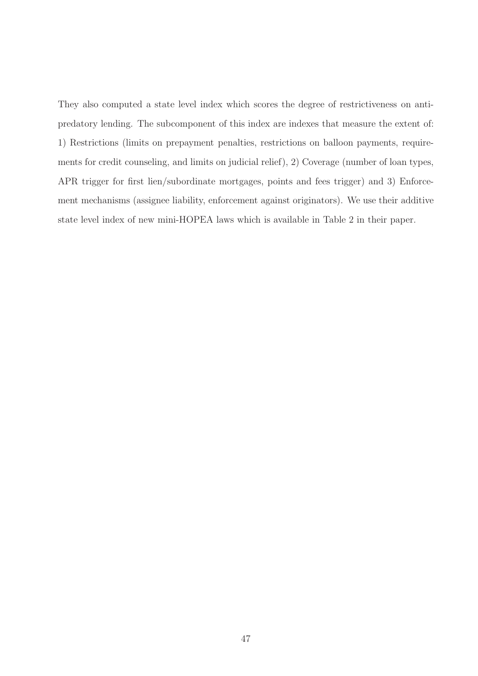They also computed a state level index which scores the degree of restrictiveness on antipredatory lending. The subcomponent of this index are indexes that measure the extent of: 1) Restrictions (limits on prepayment penalties, restrictions on balloon payments, requirements for credit counseling, and limits on judicial relief), 2) Coverage (number of loan types, APR trigger for first lien/subordinate mortgages, points and fees trigger) and 3) Enforcement mechanisms (assignee liability, enforcement against originators). We use their additive state level index of new mini-HOPEA laws which is available in Table 2 in their paper.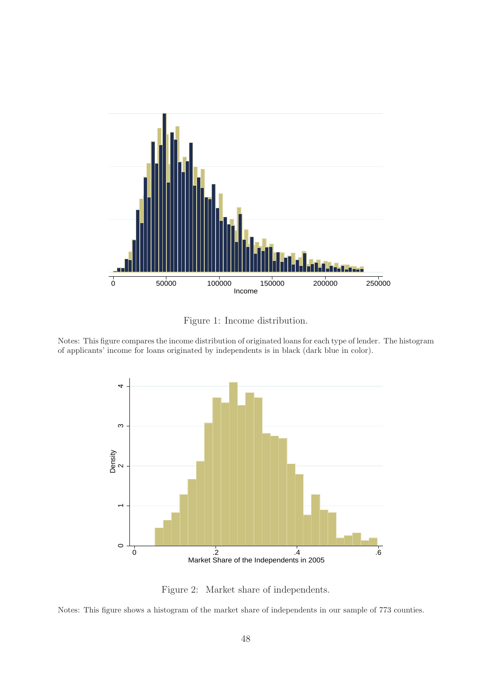

Figure 1: Income distribution.

Notes: This figure compares the income distribution of originated loans for each type of lender. The histogram of applicants' income for loans originated by independents is in black (dark blue in color).



Figure 2: Market share of independents.

Notes: This figure shows a histogram of the market share of independents in our sample of 773 counties.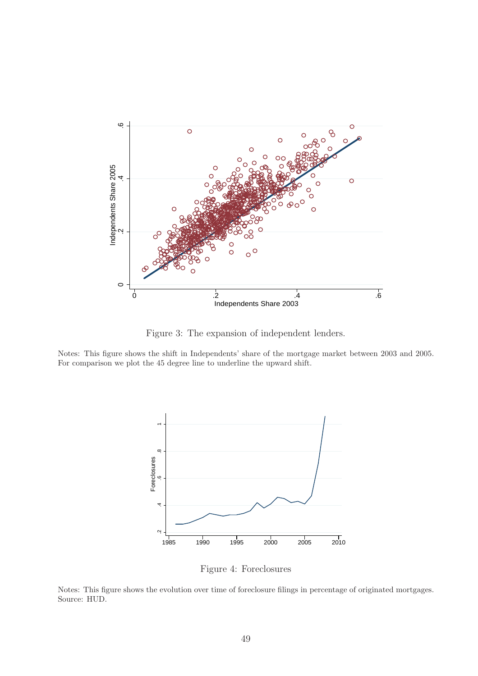

<span id="page-48-0"></span>Figure 3: The expansion of independent lenders.

Notes: This figure shows the shift in Independents' share of the mortgage market between 2003 and 2005. For comparison we plot the 45 degree line to underline the upward shift.



<span id="page-48-1"></span>Figure 4: Foreclosures

Notes: This figure shows the evolution over time of foreclosure filings in percentage of originated mortgages. Source: HUD.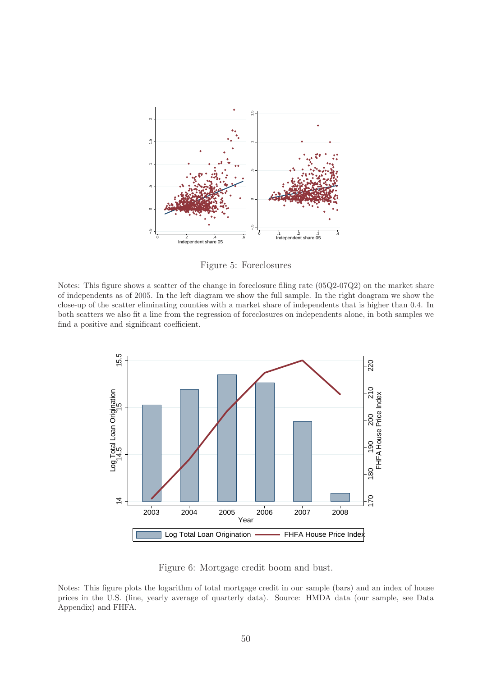

<span id="page-49-0"></span>Figure 5: Foreclosures

Notes: This figure shows a scatter of the change in foreclosure filing rate (05Q2-07Q2) on the market share of independents as of 2005. In the left diagram we show the full sample. In the right doagram we show the close-up of the scatter eliminating counties with a market share of independents that is higher than 0.4. In both scatters we also fit a line from the regression of foreclosures on independents alone, in both samples we find a positive and significant coefficient.



Figure 6: Mortgage credit boom and bust.

Notes: This figure plots the logarithm of total mortgage credit in our sample (bars) and an index of house prices in the U.S. (line, yearly average of quarterly data). Source: HMDA data (our sample, see Data Appendix) and FHFA.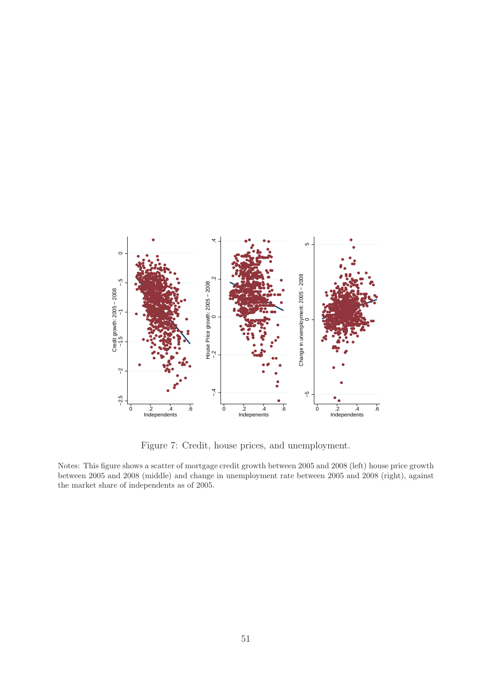

<span id="page-50-0"></span>Figure 7: Credit, house prices, and unemployment.

Notes: This figure shows a scatter of mortgage credit growth between 2005 and 2008 (left) house price growth between 2005 and 2008 (middle) and change in unemployment rate between 2005 and 2008 (right), against the market share of independents as of 2005.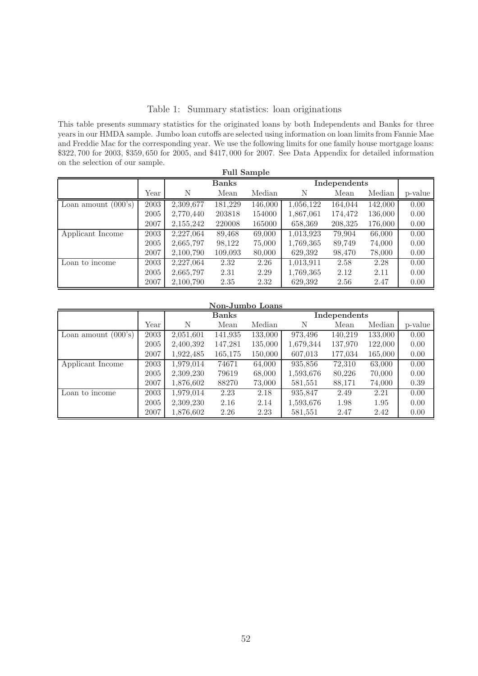### <span id="page-51-0"></span>Table 1: Summary statistics: loan originations

This table presents summary statistics for the originated loans by both Independents and Banks for three years in our HMDA sample. Jumbo loan cutoffs are selected using information on loan limits from Fannie Mae and Freddie Mac for the corresponding year. We use the following limits for one family house mortgage loans: \$322, 700 for 2003, \$359, 650 for 2005, and \$417, 000 for 2007. See Data Appendix for detailed information on the selection of our sample.

| <b>Full Sample</b>    |      |           |              |         |           |              |         |         |  |
|-----------------------|------|-----------|--------------|---------|-----------|--------------|---------|---------|--|
|                       |      |           | <b>Banks</b> |         |           | Independents |         |         |  |
|                       | Year | Ν         | Mean         | Median  | Ν         | Mean         | Median  | p-value |  |
| Loan amount $(000's)$ | 2003 | 2,309,677 | 181,229      | 146,000 | 1,056,122 | 164,044      | 142,000 | 0.00    |  |
|                       | 2005 | 2,770,440 | 203818       | 154000  | 1,867,061 | 174,472      | 136,000 | 0.00    |  |
|                       | 2007 | 2,155,242 | 220008       | 165000  | 658,369   | 208,325      | 176,000 | 0.00    |  |
| Applicant Income      | 2003 | 2,227,064 | 89,468       | 69,000  | 1,013,923 | 79,904       | 66,000  | 0.00    |  |
|                       | 2005 | 2,665,797 | 98,122       | 75,000  | 1,769,365 | 89,749       | 74,000  | 0.00    |  |
|                       | 2007 | 2,100,790 | 109,093      | 80,000  | 629,392   | 98,470       | 78,000  | 0.00    |  |
| Loan to income        | 2003 | 2,227,064 | 2.32         | 2.26    | 1,013,911 | 2.58         | 2.28    | 0.00    |  |
|                       | 2005 | 2,665,797 | 2.31         | 2.29    | 1,769,365 | 2.12         | 2.11    | 0.00    |  |
|                       | 2007 | 2,100,790 | 2.35         | 2.32    | 629.392   | 2.56         | 2.47    | 0.00    |  |

| Non-Jumbo Loans |  |
|-----------------|--|
|                 |  |

|                                     |      |           | Banks   |         |           | Independents |         |         |  |
|-------------------------------------|------|-----------|---------|---------|-----------|--------------|---------|---------|--|
|                                     | Year | N         | Mean    | Median  | N         | Mean         | Median  | p-value |  |
| Loan amount $(000's)$               | 2003 | 2,051,601 | 141,935 | 133,000 | 973,496   | 140,219      | 133,000 | 0.00    |  |
|                                     | 2005 | 2,400,392 | 147,281 | 135,000 | 1,679,344 | 137,970      | 122,000 | 0.00    |  |
|                                     | 2007 | 1,922,485 | 165,175 | 150,000 | 607,013   | 177,034      | 165,000 | 0.00    |  |
| Applicant Income                    | 2003 | 1,979,014 | 74671   | 64,000  | 935,856   | 72,310       | 63,000  | 0.00    |  |
|                                     | 2005 | 2,309,230 | 79619   | 68,000  | 1,593,676 | 80,226       | 70,000  | 0.00    |  |
|                                     | 2007 | 1,876,602 | 88270   | 73,000  | 581,551   | 88,171       | 74,000  | 0.39    |  |
| $\overline{\text{ Loan to income}}$ | 2003 | 1,979,014 | 2.23    | 2.18    | 935,847   | 2.49         | 2.21    | 0.00    |  |
|                                     | 2005 | 2,309,230 | 2.16    | 2.14    | 1,593,676 | 1.98         | 1.95    | 0.00    |  |
|                                     | 2007 | 1,876,602 | 2.26    | 2.23    | 581,551   | 2.47         | 2.42    | 0.00    |  |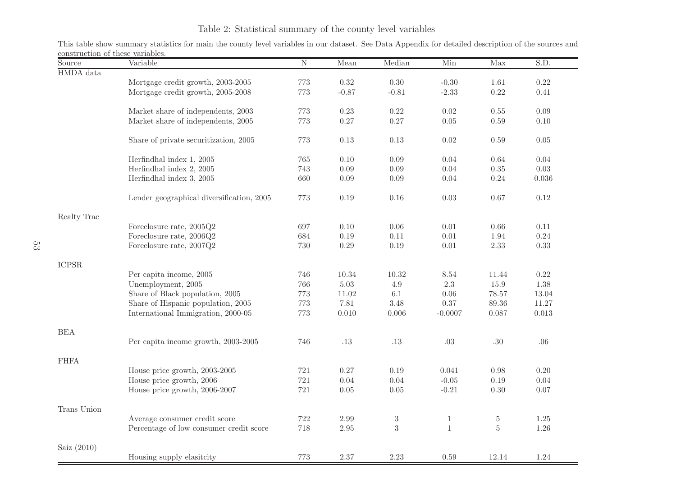# Table 2: Statistical summary of the county level variables

This table show summary statistics for main the county level variables in our dataset. See Data Appendix for detailed description of the sources andconstruction of these variables.

| Source        | Variable                                  | $\overline{N}$ | Mean     | Median         | Min          | Max       | S.D.      |
|---------------|-------------------------------------------|----------------|----------|----------------|--------------|-----------|-----------|
| HMDA data     |                                           |                |          |                |              |           |           |
|               | Mortgage credit growth, 2003-2005         | 773            | $0.32\,$ | $0.30\,$       | $-0.30$      | 1.61      | $0.22\,$  |
|               | Mortgage credit growth, 2005-2008         | 773            | $-0.87$  | $-0.81$        | $-2.33$      | $0.22\,$  | 0.41      |
|               |                                           |                |          |                |              |           |           |
|               | Market share of independents, 2003        | 773            | 0.23     | 0.22           | 0.02         | 0.55      | 0.09      |
|               | Market share of independents, 2005        | 773            | 0.27     | $0.27\,$       | $0.05\,$     | $0.59\,$  | $0.10\,$  |
|               |                                           |                |          |                |              |           |           |
|               | Share of private securitization, 2005     | 773            | 0.13     | $0.13\,$       | 0.02         | 0.59      | $0.05\,$  |
|               |                                           |                |          |                |              |           |           |
|               | Herfindhal index 1, 2005                  | 765            | 0.10     | 0.09           | 0.04         | 0.64      | 0.04      |
|               | Herfindhal index 2, 2005                  | 743            | 0.09     | 0.09           | 0.04         | 0.35      | $0.03\,$  |
|               | Herfindhal index 3, 2005                  | 660            | 0.09     | $0.09\,$       | 0.04         | 0.24      | $0.036\,$ |
|               |                                           |                |          |                |              |           |           |
|               | Lender geographical diversification, 2005 | 773            | 0.19     | $0.16\,$       | $0.03\,$     | 0.67      | 0.12      |
|               |                                           |                |          |                |              |           |           |
| Realty Trac   |                                           |                |          |                |              |           |           |
|               | Foreclosure rate, 2005Q2                  | 697            | 0.10     | $0.06\,$       | $0.01\,$     | $0.66\,$  | 0.11      |
|               | Foreclosure rate, 2006Q2                  | 684            | 0.19     | 0.11           | 0.01         | 1.94      | 0.24      |
|               | Foreclosure rate, 2007Q2                  | 730            | 0.29     | $0.19\,$       | $0.01\,$     | $2.33\,$  | 0.33      |
|               |                                           |                |          |                |              |           |           |
| <b>ICPSR</b>  |                                           |                |          |                |              |           |           |
|               | Per capita income, 2005                   | 746            | 10.34    | 10.32          | 8.54         | 11.44     | 0.22      |
|               | Unemployment, 2005                        | 766            | $5.03\,$ | 4.9            | 2.3          | 15.9      | 1.38      |
|               | Share of Black population, 2005           | 773            | 11.02    | 6.1            | 0.06         | 78.57     | 13.04     |
|               | Share of Hispanic population, 2005        | 773            | 7.81     | 3.48           | 0.37         | $89.36\,$ | 11.27     |
|               | International Immigration, 2000-05        | 773            | 0.010    | 0.006          | $-0.0007$    | 0.087     | $0.013\,$ |
|               |                                           |                |          |                |              |           |           |
| <b>BEA</b>    |                                           |                |          |                |              |           |           |
|               | Per capita income growth, 2003-2005       | 746            | .13      | .13            | $.03\,$      | $.30\,$   | .06       |
|               |                                           |                |          |                |              |           |           |
| <b>FHFA</b>   |                                           |                |          |                |              |           |           |
|               | House price growth, 2003-2005             | $721\,$        | 0.27     | $0.19\,$       | 0.041        | $0.98\,$  | $0.20\,$  |
|               | House price growth, 2006                  | 721            | 0.04     | 0.04           | $-0.05$      | $0.19\,$  | 0.04      |
|               | House price growth, 2006-2007             | 721            | 0.05     | $0.05\,$       | $-0.21$      | $0.30\,$  | 0.07      |
|               |                                           |                |          |                |              |           |           |
| Trans Union   |                                           |                |          |                |              |           |           |
|               | Average consumer credit score             | 722            | $2.99\,$ | $\sqrt{3}$     | $\mathbf{1}$ | $\bf 5$   | $1.25\,$  |
|               | Percentage of low consumer credit score   | 718            | 2.95     | $\overline{3}$ | $1\,$        | $\rm 5$   | 1.26      |
|               |                                           |                |          |                |              |           |           |
| Saiz $(2010)$ |                                           |                |          |                |              |           |           |
|               | Housing supply elasitcity                 | 773            | 2.37     | $2.23\,$       | $0.59\,$     | 12.14     | 1.24      |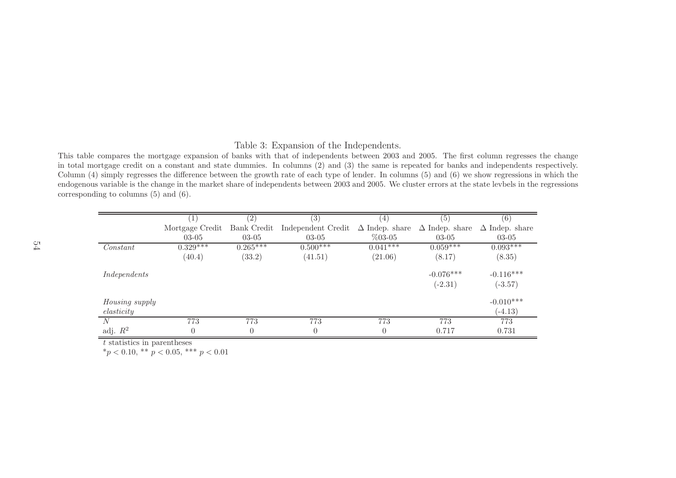### Table 3: Expansion of the Independents.

This table compares the mortgage expansion of banks with that of independents between <sup>2003</sup> and 2005. The first column regresses the change in total mortgage credit on <sup>a</sup> constant and state dummies. In columns (2) and (3) the same is repeated for banks and independents respectively. Column (4) simply regresses the difference between the growth rate of each type of lender. In columns (5) and (6) we show regressions in which the endogenous variable is the change in the market share of independents between <sup>2003</sup> and 2005. We cluster errors at the state levbels in the regressionscorresponding to columns (5) and (6).

|                |                 | (2)         | 3)                    | $\overline{4}$        | (5)                   | (6)                   |
|----------------|-----------------|-------------|-----------------------|-----------------------|-----------------------|-----------------------|
|                | Mortgage Credit | Bank Credit | Independent Credit    | $\Delta$ Indep. share | $\Delta$ Indep. share | $\Delta$ Indep. share |
|                | $03-05$         | $03-05$     | $03-05$               | $%03-05$              | $03-05$               | $03-05$               |
| Constant       | $0.329***$      | $0.265***$  | $0.50\overline{0***}$ | $0.041***$            | $0.059***$            | $0.093***$            |
|                | (40.4)          | (33.2)      | (41.51)               | (21.06)               | (8.17)                | (8.35)                |
| Independents   |                 |             |                       |                       | $-0.076***$           | $-0.116***$           |
|                |                 |             |                       |                       | $(-2.31)$             | $(-3.57)$             |
| Housing supply |                 |             |                       |                       |                       | $-0.010***$           |
| elasticity     |                 |             |                       |                       |                       | $(-4.13)$             |
| N              | 773             | 773         | 773                   | 773                   | 773                   | 773                   |
| adj. $R^2$     | $\theta$        | $\theta$    |                       | $\Omega$              | 0.717                 | 0.731                 |

<span id="page-53-0"></span>t statistics in parentheses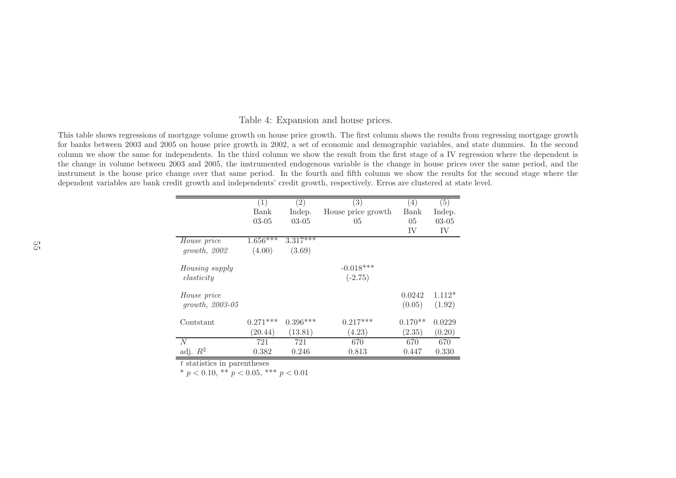#### Table 4: Expansion and house prices.

This table shows regressions of mortgage volume growth on house price growth. The first column shows the results from regressing mortgage growth for banks between <sup>2003</sup> and <sup>2005</sup> on house price growth in 2002, <sup>a</sup> set of economic and demographic variables, and state dummies. In the second column we show the same for independents. In the third column we show the result from the first stage of <sup>a</sup> IV regression where the dependent is the change in volume between <sup>2003</sup> and 2005, the instrumented endogenous variable is the change in house prices over the same period, and the instrument is the house price change over that same period. In the fourth and fifth column we show the results for the second stage where the dependent variables are bank credit growth and independents' credit growth, respectively. Erros are clustered at state level.

|                       | (1)        | $\left( 2\right)$     | $\left( 3\right)$  | (4)       | (5)      |
|-----------------------|------------|-----------------------|--------------------|-----------|----------|
|                       | Bank       | Indep.                | House price growth | Bank      | Indep.   |
|                       | $03-05$    | $03-05$               | 05                 | 05        | $03-05$  |
|                       |            |                       |                    | IV        | IV       |
| House price           | $1.656***$ | $3.3\overline{17***}$ |                    |           |          |
| growth, 2002          | (4.00)     | (3.69)                |                    |           |          |
| <i>Housing supply</i> |            |                       | $-0.018***$        |           |          |
| elasticity            |            |                       | $(-2.75)$          |           |          |
| <i>House</i> price    |            |                       |                    | 0.0242    | $1.112*$ |
| $growth, 2003-05$     |            |                       |                    | (0.05)    | (1.92)   |
| Contstant             | $0.271***$ | $0.396***$            | $0.217***$         | $0.170**$ | 0.0229   |
|                       | (20.44)    | (13.81)               | (4.23)             | (2.35)    | (0.20)   |
| N                     | 721        | 721                   | 670                | 670       | 670      |
| adj. $R^2$            | 0.382      | 0.246                 | 0.813              | 0.447     | 0.330    |

<span id="page-54-0"></span>t statistics in parentheses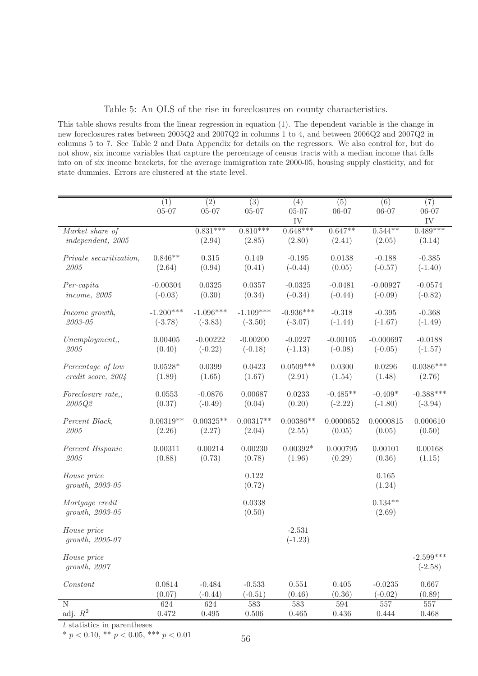<span id="page-55-0"></span>Table 5: An OLS of the rise in foreclosures on county characteristics.

This table shows results from the linear regression in equation (1). The dependent variable is the change in new foreclosures rates between 2005Q2 and 2007Q2 in columns 1 to 4, and between 2006Q2 and 2007Q2 in columns 5 to 7. See Table 2 and Data Appendix for details on the regressors. We also control for, but do not show, six income variables that capture the percentage of census tracts with a median income that falls into on of six income brackets, for the average immigration rate 2000-05, housing supply elasticity, and for state dummies. Errors are clustered at the state level.

|                                      | $\overline{(1)}$ | $\overline{(2)}$ | $\overline{(3)}$ | (4)                   | (5)        | (6)                 | (7)                      |
|--------------------------------------|------------------|------------------|------------------|-----------------------|------------|---------------------|--------------------------|
|                                      | $05 - 07$        | $05 - 07$        | $05 - 07$        | $05 - 07$             | $06 - 07$  | $06 - 07$           | $06 - 07$                |
|                                      |                  |                  |                  | IV                    |            |                     | IV                       |
| Market share of                      |                  | $0.831***$       | $0.810***$       | $0.648***$            | $0.647**$  | $0.544**$           | $0.489***$               |
| independent, 2005                    |                  | (2.94)           | (2.85)           | (2.80)                | (2.41)     | (2.05)              | (3.14)                   |
| Private securitization,              | $0.846**$        | 0.315            | 0.149            | $-0.195$              | 0.0138     | $-0.188$            | $-0.385$                 |
| 2005                                 | (2.64)           | (0.94)           | (0.41)           | $(-0.44)$             | (0.05)     | $(-0.57)$           | $(-1.40)$                |
| $Per-capita$                         | $-0.00304$       | 0.0325           | 0.0357           | $-0.0325$             | $-0.0481$  | $-0.00927$          | $-0.0574$                |
| <i>income, 2005</i>                  | $(-0.03)$        | (0.30)           | (0.34)           | $(-0.34)$             | $(-0.44)$  | $(-0.09)$           | $(-0.82)$                |
| Income growth,                       | $-1.200***$      | $-1.096***$      | $-1.109***$      | $-0.936***$           | $-0.318$   | $-0.395$            | $-0.368$                 |
| $2003 - 05$                          | $(-3.78)$        | $(-3.83)$        | $(-3.50)$        | $(-3.07)$             | $(-1.44)$  | $(-1.67)$           | $(-1.49)$                |
| Unemplogment,                        | 0.00405          | $-0.00222$       | $-0.00200$       | $-0.0227$             | $-0.00105$ | $-0.000697$         | $-0.0188$                |
| 2005                                 | (0.40)           | $(-0.22)$        | $(-0.18)$        | $(-1.13)$             | $(-0.08)$  | $(-0.05)$           | $(-1.57)$                |
| Percentage of low                    | $0.0528*$        | 0.0399           | 0.0423           | $0.0509***$           | 0.0300     | 0.0296              | $0.0386***$              |
| credit score, 2004                   | (1.89)           | (1.65)           | (1.67)           | (2.91)                | (1.54)     | (1.48)              | (2.76)                   |
| Foreclosure rate,,                   | 0.0553           | $-0.0876$        | 0.00687          | 0.0233                | $-0.485**$ | $-0.409*$           | $-0.388***$              |
| 2005Q2                               | (0.37)           | $(-0.49)$        | (0.04)           | (0.20)                | $(-2.22)$  | $(-1.80)$           | $(-3.94)$                |
| Percent Black,                       | $0.00319**$      | $0.00325**$      | $0.00317**$      | $0.00386**$           | 0.0000652  | 0.0000815           | 0.000610                 |
| 2005                                 | (2.26)           | (2.27)           | (2.04)           | (2.55)                | (0.05)     | (0.05)              | (0.50)                   |
| Percent Hispanic                     | 0.00311          | 0.00214          | 0.00230          | $0.00392*$            | 0.000795   | 0.00101             | 0.00168                  |
| 2005                                 | (0.88)           | (0.73)           | (0.78)           | (1.96)                | (0.29)     | (0.36)              | (1.15)                   |
| House price<br>growth, 2003-05       |                  |                  | 0.122<br>(0.72)  |                       |            | 0.165<br>(1.24)     |                          |
| Mortgage credit<br>$growth, 2003-05$ |                  |                  | 0.0338<br>(0.50) |                       |            | $0.134**$<br>(2.69) |                          |
| House price<br>$growth, 2005-07$     |                  |                  |                  | $-2.531$<br>$(-1.23)$ |            |                     |                          |
| House price<br>growth, 2007          |                  |                  |                  |                       |            |                     | $-2.599***$<br>$(-2.58)$ |
| Constant                             | 0.0814           | $-0.484$         | $-0.533$         | 0.551                 | 0.405      | $-0.0235$           | 0.667                    |
|                                      | (0.07)           | $(-0.44)$        | $(-0.51)$        | (0.46)                | (0.36)     | $(-0.02)$           | (0.89)                   |
| $\mathbf N$                          | 624              | 624              | 583              | 583                   | 594        | 557                 | 557                      |
| adj. $R^2$                           | $0.472\,$        | $0.495\,$        | $0.506\,$        | $0.465\,$             | $0.436\,$  | 0.444               | 0.468                    |

t statistics in parentheses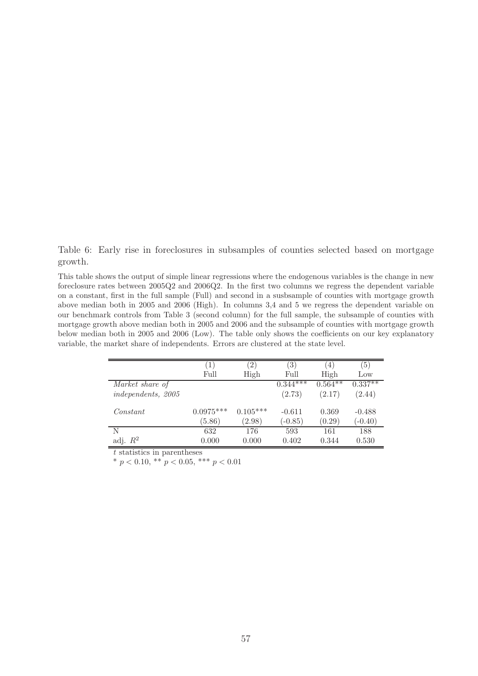<span id="page-56-0"></span>Table 6: Early rise in foreclosures in subsamples of counties selected based on mortgage growth.

This table shows the output of simple linear regressions where the endogenous variables is the change in new foreclosure rates between 2005Q2 and 2006Q2. In the first two columns we regress the dependent variable on a constant, first in the full sample (Full) and second in a susbsample of counties with mortgage growth above median both in 2005 and 2006 (High). In columns 3,4 and 5 we regress the dependent variable on our benchmark controls from Table 3 (second column) for the full sample, the subsample of counties with mortgage growth above median both in 2005 and 2006 and the subsample of counties with mortgage growth below median both in 2005 and 2006 (Low). The table only shows the coefficients on our key explanatory variable, the market share of independents. Errors are clustered at the state level.

|                    | 1)          | $\left( 2\right)$ | (3)        | $\left(4\right)$ | (5)       |
|--------------------|-------------|-------------------|------------|------------------|-----------|
|                    | Full        | High              | Full       | High             | Low       |
| Market share of    |             |                   | $0.344***$ | $0.564***$       | $0.337**$ |
| independents, 2005 |             |                   | (2.73)     | (2.17)           | (2.44)    |
| Constant           | $0.0975***$ | $0.105***$        | $-0.611$   | 0.369            | $-0.488$  |
|                    | (5.86)      | (2.98)            | $(-0.85)$  | (0.29)           | $(-0.40)$ |
| N                  | 632         | 176               | 593        | 161              | 188       |
| adj. $R^2$         | 0.000       | 0.000             | 0.402      | 0.344            | 0.530     |

 $t$  statistics in parentheses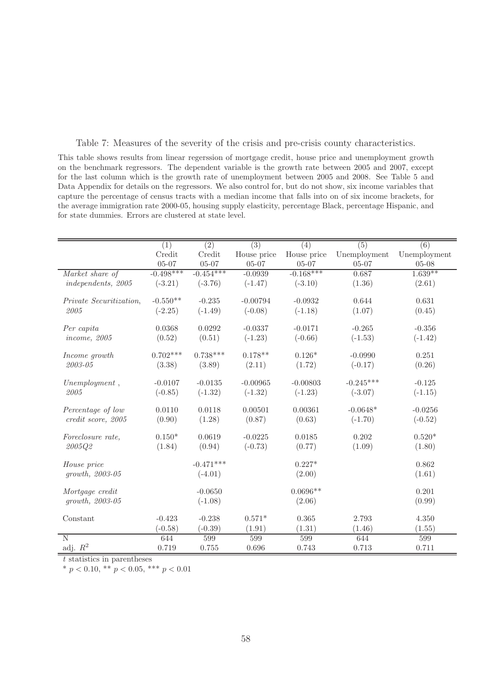<span id="page-57-0"></span>Table 7: Measures of the severity of the crisis and pre-crisis county characteristics.

This table shows results from linear regerssion of mortgage credit, house price and unemployment growth on the benchmark regressors. The dependent variable is the growth rate between 2005 and 2007, except for the last column which is the growth rate of unemployment between 2005 and 2008. See Table 5 and Data Appendix for details on the regressors. We also control for, but do not show, six income variables that capture the percentage of census tracts with a median income that falls into on of six income brackets, for the average immigration rate 2000-05, housing supply elasticity, percentage Black, percentage Hispanic, and for state dummies. Errors are clustered at state level.

|                         | (1)         | $\overline{(2)}$ | $\overline{(3)}$ | (4)         | $\overline{(5)}$ | (6)          |
|-------------------------|-------------|------------------|------------------|-------------|------------------|--------------|
|                         | Credit      | Credit           | House price      | House price | Unemployment     | Unemployment |
|                         | $05 - 07$   | $05 - 07$        | $05 - 07$        | $05 - 07$   | $05 - 07$        | $05 - 08$    |
| Market share of         | $-0.498***$ | $-0.454***$      | $-0.0939$        | $-0.168***$ | 0.687            | $1.639**$    |
| independents, 2005      | $(-3.21)$   | $(-3.76)$        | $(-1.47)$        | $(-3.10)$   | (1.36)           | (2.61)       |
| Private Securitization, | $-0.550**$  | $-0.235$         | $-0.00794$       | $-0.0932$   | 0.644            | 0.631        |
| 2005                    | $(-2.25)$   | $(-1.49)$        | $(-0.08)$        | $(-1.18)$   | (1.07)           | (0.45)       |
|                         |             |                  |                  |             |                  |              |
| Per capita              | 0.0368      | 0.0292           | $-0.0337$        | $-0.0171$   | $-0.265$         | $-0.356$     |
| <i>income, 2005</i>     | (0.52)      | (0.51)           | $(-1.23)$        | $(-0.66)$   | $(-1.53)$        | $(-1.42)$    |
|                         |             |                  |                  |             |                  |              |
| Income growth           | $0.702***$  | $0.738***$       | $0.178**$        | $0.126*$    | $-0.0990$        | 0.251        |
| 2003-05                 | (3.38)      | (3.89)           | (2.11)           | (1.72)      | $(-0.17)$        | (0.26)       |
| $Unemplogment$ ,        | $-0.0107$   | $-0.0135$        | $-0.00965$       | $-0.00803$  | $-0.245***$      | $-0.125$     |
| 2005                    | $(-0.85)$   | $(-1.32)$        | $(-1.32)$        | $(-1.23)$   | $(-3.07)$        | $(-1.15)$    |
|                         |             |                  |                  |             |                  |              |
| Percentage of low       | 0.0110      | 0.0118           | 0.00501          | 0.00361     | $-0.0648*$       | $-0.0256$    |
| credit score, 2005      | (0.90)      | (1.28)           | (0.87)           | (0.63)      | $(-1.70)$        | $(-0.52)$    |
|                         |             |                  |                  |             |                  |              |
| Foreclosure rate,       | $0.150*$    | 0.0619           | $-0.0225$        | 0.0185      | 0.202            | $0.520*$     |
| 2005Q2                  | (1.84)      | (0.94)           | $(-0.73)$        | (0.77)      | (1.09)           | (1.80)       |
| House price             |             | $-0.471***$      |                  | $0.227*$    |                  | 0.862        |
| $growth, 2003-05$       |             | $(-4.01)$        |                  | (2.00)      |                  | (1.61)       |
|                         |             |                  |                  |             |                  |              |
| Mortgage credit         |             | $-0.0650$        |                  | $0.0696**$  |                  | 0.201        |
| growth, 2003-05         |             | $(-1.08)$        |                  | (2.06)      |                  | (0.99)       |
|                         |             |                  |                  |             |                  |              |
| Constant                | $-0.423$    | $-0.238$         | $0.571*$         | 0.365       | 2.793            | 4.350        |
|                         | $(-0.58)$   | $(-0.39)$        | (1.91)           | (1.31)      | (1.46)           | (1.55)       |
| N                       | 644         | 599              | 599              | 599         | 644              | 599          |
| adj. $R^2$              | 0.719       | 0.755            | 0.696            | 0.743       | 0.713            | 0.711        |

 $t$  statistics in parentheses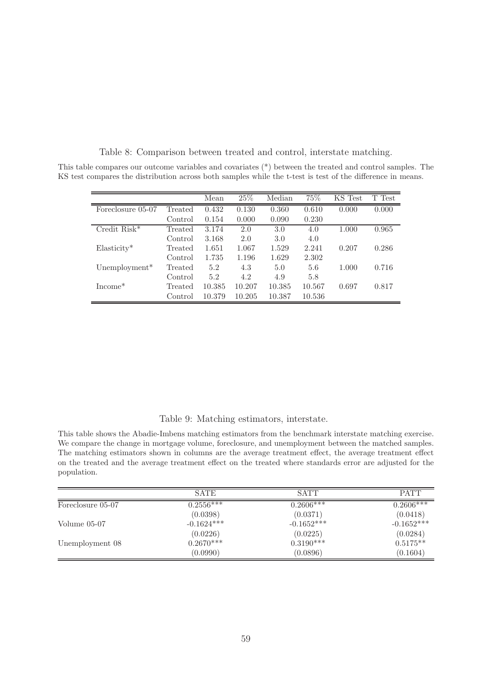|                             |         | Mean   | 25%    | Median | 75%    | KS Test | T Test |
|-----------------------------|---------|--------|--------|--------|--------|---------|--------|
| Foreclosure 05-07           | Treated | 0.432  | 0.130  | 0.360  | 0.610  | 0.000   | 0.000  |
|                             | Control | 0.154  | 0.000  | 0.090  | 0.230  |         |        |
| $C$ redit Risk <sup>*</sup> | Treated | 3.174  | 2.0    | 3.0    | 4.0    | 1.000   | 0.965  |
|                             | Control | 3.168  | 2.0    | 3.0    | 4.0    |         |        |
| $Elasticity*$               | Treated | 1.651  | 1.067  | 1.529  | 2.241  | 0.207   | 0.286  |
|                             | Control | 1.735  | 1.196  | 1.629  | 2.302  |         |        |
| Unemployment <sup>*</sup>   | Treated | 5.2    | 4.3    | 5.0    | 5.6    | 1.000   | 0.716  |
|                             | Control | 5.2    | 4.2    | 4.9    | 5.8    |         |        |
| $Income^*$                  | Treated | 10.385 | 10.207 | 10.385 | 10.567 | 0.697   | 0.817  |
|                             | Control | 10.379 | 10.205 | 10.387 | 10.536 |         |        |

<span id="page-58-0"></span>Table 8: Comparison between treated and control, interstate matching.

This table compares our outcome variables and covariates (\*) between the treated and control samples. The KS test compares the distribution across both samples while the t-test is test of the difference in means.

### <span id="page-58-1"></span>Table 9: Matching estimators, interstate.

This table shows the Abadie-Imbens matching estimators from the benchmark interstate matching exercise. We compare the change in mortgage volume, foreclosure, and unemployment between the matched samples. The matching estimators shown in columns are the average treatment effect, the average treatment effect on the treated and the average treatment effect on the treated where standards error are adjusted for the population.

|                   | <b>SATE</b>            | <b>SATT</b>               | <b>PATT</b>  |
|-------------------|------------------------|---------------------------|--------------|
| Foreclosure 05-07 | $0.25\overline{56***}$ | $0.26\overline{00*^{**}}$ | $0.2606***$  |
|                   | (0.0398)               | (0.0371)                  | (0.0418)     |
| Volume $05-07$    | $-0.1624***$           | $-0.1652***$              | $-0.1652***$ |
|                   | (0.0226)               | (0.0225)                  | (0.0284)     |
| Unemployment 08   | $0.2670***$            | $0.3190***$               | $0.5175**$   |
|                   | (0.0990)               | (0.0896)                  | (0.1604)     |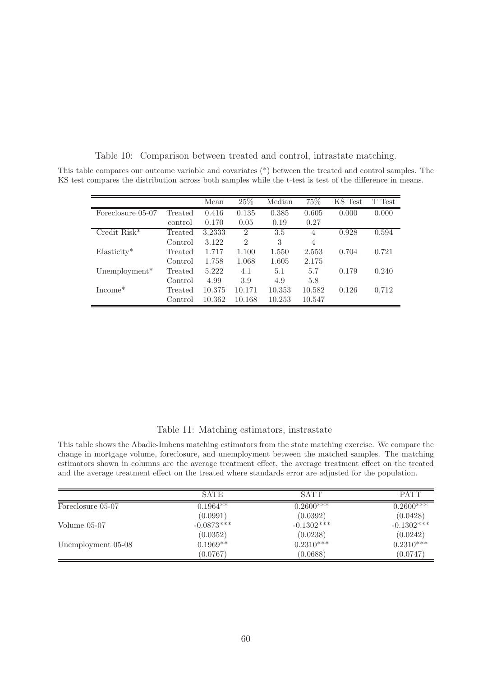<span id="page-59-0"></span>

|                           |         | Mean   | 25%            | Median | 75%    | KS Test | T Test |
|---------------------------|---------|--------|----------------|--------|--------|---------|--------|
| Foreclosure 05-07         | Treated | 0.416  | 0.135          | 0.385  | 0.605  | 0.000   | 0.000  |
|                           | control | 0.170  | 0.05           | 0.19   | 0.27   |         |        |
| Credit $Risk*$            | Treated | 3.2333 | $\overline{2}$ | 3.5    | 4      | 0.928   | 0.594  |
|                           | Control | 3.122  | $\overline{2}$ | 3      | 4      |         |        |
| $Elasticity*$             | Treated | 1.717  | 1.100          | 1.550  | 2.553  | 0.704   | 0.721  |
|                           | Control | 1.758  | 1.068          | 1.605  | 2.175  |         |        |
| Unemployment <sup>*</sup> | Treated | 5.222  | 4.1            | 5.1    | 5.7    | 0.179   | 0.240  |
|                           | Control | 4.99   | 3.9            | 4.9    | 5.8    |         |        |
| $Income^*$                | Treated | 10.375 | 10.171         | 10.353 | 10.582 | 0.126   | 0.712  |
|                           | Control | 10.362 | 10.168         | 10.253 | 10.547 |         |        |

Table 10: Comparison between treated and control, intrastate matching. This table compares our outcome variable and covariates (\*) between the treated and control samples. The KS test compares the distribution across both samples while the t-test is test of the difference in means.

### <span id="page-59-1"></span>Table 11: Matching estimators, instrastate

This table shows the Abadie-Imbens matching estimators from the state matching exercise. We compare the change in mortgage volume, foreclosure, and unemployment between the matched samples. The matching estimators shown in columns are the average treatment effect, the average treatment effect on the treated and the average treatment effect on the treated where standards error are adjusted for the population.

|                    | <b>SATE</b>  | <b>SATT</b>  | <b>PATT</b>  |
|--------------------|--------------|--------------|--------------|
| Foreclosure 05-07  | $0.1964**$   | $0.2600***$  | $0.2600***$  |
|                    | (0.0991)     | (0.0392)     | (0.0428)     |
| Volume $05-07$     | $-0.0873***$ | $-0.1302***$ | $-0.1302***$ |
|                    | (0.0352)     | (0.0238)     | (0.0242)     |
| Unemployment 05-08 | $0.1969**$   | $0.2310***$  | $0.2310***$  |
|                    | (0.0767)     | (0.0688)     | (0.0747)     |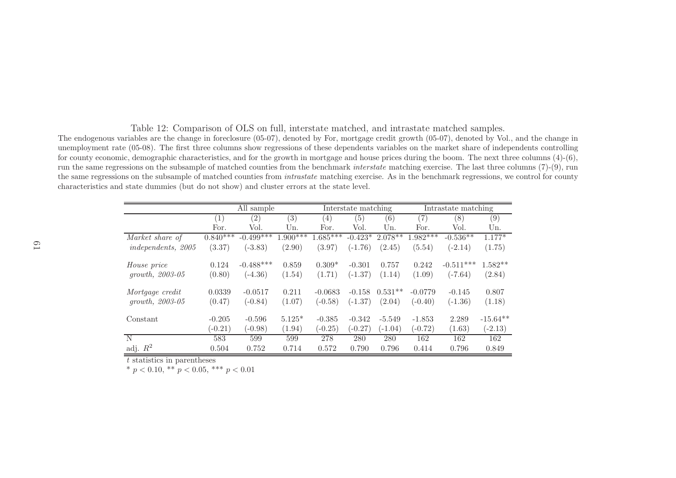Table 12: Comparison of OLS on full, interstate matched, and intrastate matched samples.

The endogenous variables are the change in foreclosure (05-07), denoted by For, mortgage credit growth (05-07), denoted by Vol., and the change in unemployment rate (05-08). The first three columns show regressions of these dependents variables on the market share of independents controlling for county economic, demographic characteristics, and for the growth in mortgage and house prices during the boom. The next three columns (4)-(6), run the same regressions on the subsample of matched counties from the benchmark *interstate* matching exercise. The last three columns (7)-(9), run the same regressions on the subsample of matched counties from *intrastate* matching exercise. As in the benchmark regressions, we control for county characteristics and state dummies (but do not show) and cluster errors at the state level.

|                           | All sample |             |            | Interstate matching |           |           | Intrastate matching |             |            |
|---------------------------|------------|-------------|------------|---------------------|-----------|-----------|---------------------|-------------|------------|
|                           | (1)        | (2)         | (3)        | (4)                 | (5)       | (6)       | (7)                 | (8)         | (9)        |
|                           | For.       | Vol.        | Un.        | For.                | Vol.      | Un.       | For.                | Vol.        | Un.        |
| Market share of           | $0.840***$ | $-0.499***$ | $1.900***$ | $1.685***$          | $-0.423*$ | $2.078**$ | $1.982***$          | $-0.536**$  | $1.177*$   |
| <i>independents, 2005</i> | (3.37)     | $(-3.83)$   | (2.90)     | (3.97)              | $(-1.76)$ | (2.45)    | (5.54)              | $(-2.14)$   | (1.75)     |
| <i>House</i> price        | 0.124      | $-0.488***$ | 0.859      | $0.309*$            | $-0.301$  | 0.757     | 0.242               | $-0.511***$ | $1.582**$  |
| $growth, 2003-05$         | (0.80)     | $(-4.36)$   | (1.54)     | (1.71)              | $(-1.37)$ | (1.14)    | (1.09)              | $(-7.64)$   | (2.84)     |
| Mortgage credit           | 0.0339     | $-0.0517$   | 0.211      | $-0.0683$           | $-0.158$  | $0.531**$ | $-0.0779$           | $-0.145$    | 0.807      |
| $growth, 2003-05$         | (0.47)     | $(-0.84)$   | (1.07)     | $(-0.58)$           | $(-1.37)$ | (2.04)    | $(-0.40)$           | $(-1.36)$   | (1.18)     |
| Constant                  | $-0.205$   | $-0.596$    | $5.125*$   | $-0.385$            | $-0.342$  | $-5.549$  | $-1.853$            | 2.289       | $-15.64**$ |
|                           | $(-0.21)$  | $(-0.98)$   | (1.94)     | $(-0.25)$           | $(-0.27)$ | $(-1.04)$ | $(-0.72)$           | (1.63)      | $(-2.13)$  |
| N                         | 583        | 599         | 599        | 278                 | 280       | 280       | 162                 | 162         | 162        |
| adj. $R^2$                | 0.504      | 0.752       | 0.714      | 0.572               | 0.790     | 0.796     | 0.414               | 0.796       | 0.849      |

<span id="page-60-0"></span>t statistics in parentheses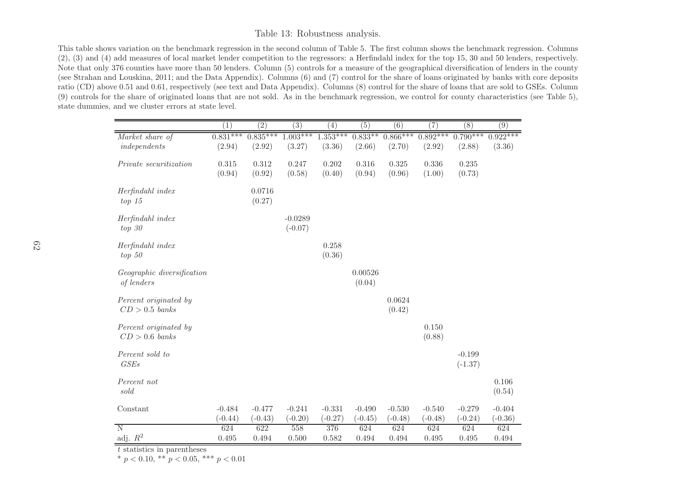### Table 13: Robustness analysis.

This table shows variation on the benchmark regression in the second column of Table 5. The first column shows the benchmark regression. Columns (2), (3) and (4) add measures of local market lender competition to the regressors: <sup>a</sup> Herfindahl index for the top 15, <sup>30</sup> and <sup>50</sup> lenders, respectively. Note that only <sup>376</sup> counties have more than <sup>50</sup> lenders. Column (5) controls for <sup>a</sup> measure of the geographical diversification of lenders in the county (see Strahan and Louskina, 2011; and the Data Appendix). Columns (6) and (7) control for the share of loans originated by banks with core deposits ratio (CD) above 0.51 and 0.61, respectively (see text and Data Appendix). Columns (8) control for the share of loans that are sold to GSEs. Column (9) controls for the share of originated loans that are not sold. As in the benchmark regression, we control for county characteristics (see Table 5), state dummies, and we cluster errors at state level.

|                                           | $\left(1\right)$      | $\overline{(2)}$      | $\overline{(3)}$       | (4)                   | $\overline{(5)}$      | (6)                   | (7)                   | (8)                   | $\overline{(9)}$      |
|-------------------------------------------|-----------------------|-----------------------|------------------------|-----------------------|-----------------------|-----------------------|-----------------------|-----------------------|-----------------------|
| Market share of<br>independents           | $0.831***$<br>(2.94)  | $0.835***$<br>(2.92)  | $1.003***$<br>(3.27)   | $1.353***$<br>(3.36)  | $0.833**$<br>(2.66)   | $0.866***$<br>(2.70)  | $0.892***$<br>(2.92)  | $0.790***$<br>(2.88)  | $0.922***$<br>(3.36)  |
| Private securitization                    | 0.315<br>(0.94)       | 0.312<br>(0.92)       | 0.247<br>(0.58)        | 0.202<br>(0.40)       | 0.316<br>(0.94)       | 0.325<br>(0.96)       | 0.336<br>(1.00)       | 0.235<br>(0.73)       |                       |
| Herfindahl index<br>top 15                |                       | 0.0716<br>(0.27)      |                        |                       |                       |                       |                       |                       |                       |
| Herfindahl index<br>$top\ 30$             |                       |                       | $-0.0289$<br>$(-0.07)$ |                       |                       |                       |                       |                       |                       |
| Herfindahl index<br>$top\ 50$             |                       |                       |                        | 0.258<br>(0.36)       |                       |                       |                       |                       |                       |
| Geographic diversification<br>of lenders  |                       |                       |                        |                       | 0.00526<br>(0.04)     |                       |                       |                       |                       |
| Percent originated by<br>$CD > 0.5$ banks |                       |                       |                        |                       |                       | 0.0624<br>(0.42)      |                       |                       |                       |
| Percent originated by<br>$CD > 0.6$ banks |                       |                       |                        |                       |                       |                       | 0.150<br>(0.88)       |                       |                       |
| Percent sold to<br>GSEs                   |                       |                       |                        |                       |                       |                       |                       | $-0.199$<br>$(-1.37)$ |                       |
| Percent not<br>$\mathit{sold}$            |                       |                       |                        |                       |                       |                       |                       |                       | 0.106<br>(0.54)       |
| Constant                                  | $-0.484$<br>$(-0.44)$ | $-0.477$<br>$(-0.43)$ | $-0.241$<br>$(-0.20)$  | $-0.331$<br>$(-0.27)$ | $-0.490$<br>$(-0.45)$ | $-0.530$<br>$(-0.48)$ | $-0.540$<br>$(-0.48)$ | $-0.279$<br>$(-0.24)$ | $-0.404$<br>$(-0.36)$ |
| $\overline{N}$<br>adj. $R^2$              | 624<br>0.495          | 622<br>0.494          | 558<br>0.500           | 376<br>0.582          | 624<br>0.494          | 624<br>0.494          | 624<br>0.495          | 624<br>0.495          | 624<br>0.494          |

<span id="page-61-0"></span>t statistics in parentheses